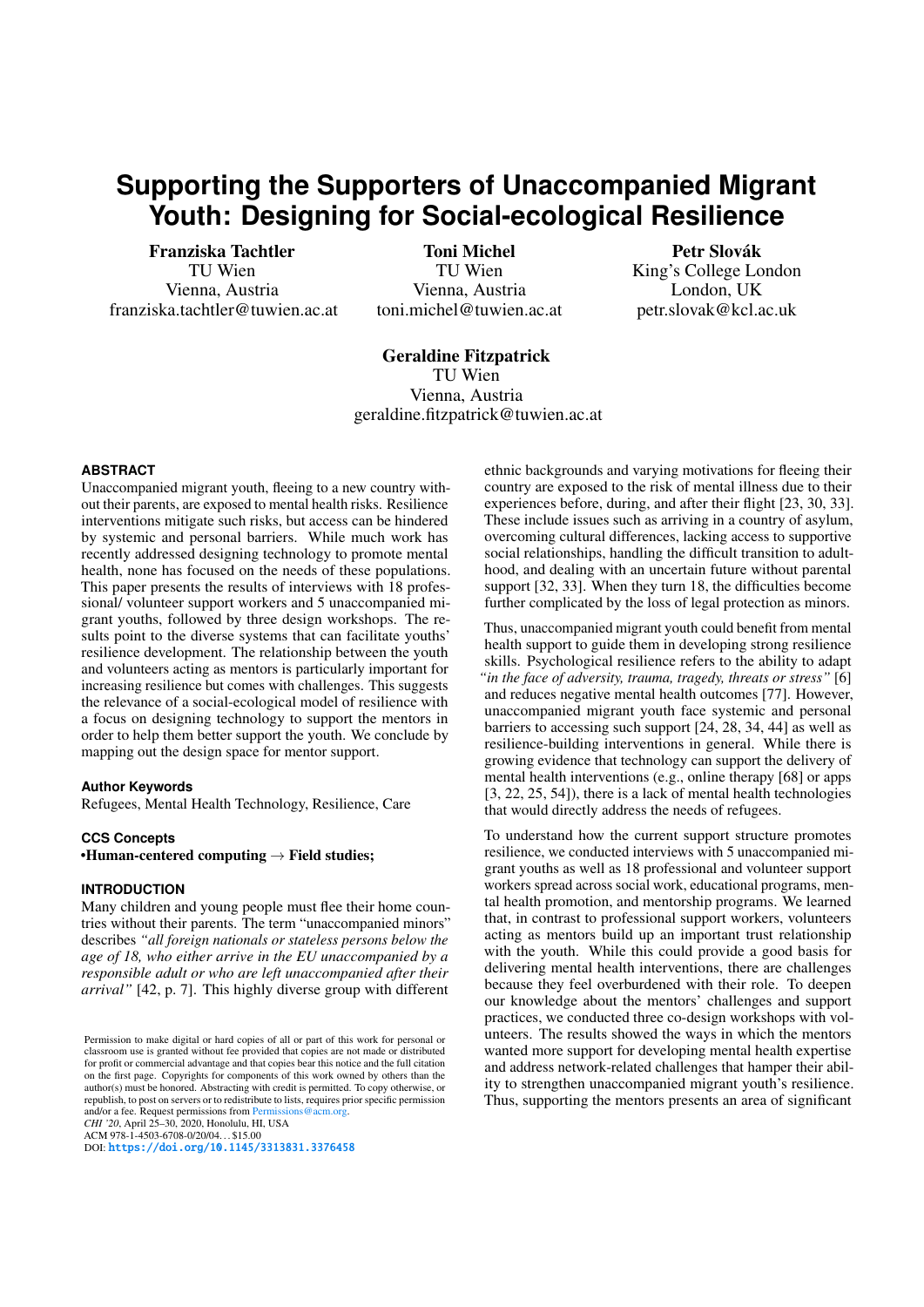# **Supporting the Supporters of Unaccompanied Migrant Youth: Designing for Social-ecological Resilience**

Franziska Tachtler TU Wien Vienna, Austria franziska.tachtler@tuwien.ac.at

Toni Michel TU Wien Vienna, Austria toni.michel@tuwien.ac.at

## Petr Slovák King's College London London, UK

petr.slovak@kcl.ac.uk

# Geraldine Fitzpatrick

TU Wien Vienna, Austria geraldine.fitzpatrick@tuwien.ac.at

## **ABSTRACT**

Unaccompanied migrant youth, fleeing to a new country without their parents, are exposed to mental health risks. Resilience interventions mitigate such risks, but access can be hindered by systemic and personal barriers. While much work has recently addressed designing technology to promote mental health, none has focused on the needs of these populations. This paper presents the results of interviews with 18 professional/ volunteer support workers and 5 unaccompanied migrant youths, followed by three design workshops. The results point to the diverse systems that can facilitate youths' resilience development. The relationship between the youth and volunteers acting as mentors is particularly important for increasing resilience but comes with challenges. This suggests the relevance of a social-ecological model of resilience with a focus on designing technology to support the mentors in order to help them better support the youth. We conclude by mapping out the design space for mentor support.

## **Author Keywords**

Refugees, Mental Health Technology, Resilience, Care

## **CCS Concepts**

•Human-centered computing  $\rightarrow$  Field studies;

## **INTRODUCTION**

Many children and young people must flee their home countries without their parents. The term "unaccompanied minors" describes *"all foreign nationals or stateless persons below the age of 18, who either arrive in the EU unaccompanied by a responsible adult or who are left unaccompanied after their arrival"* [42, p. 7]. This highly diverse group with different

*CHI '20*, April 25–30, 2020, Honolulu, HI, USA

ACM 978-1-4503-6708-0/20/04...\$15.00<br>DOI: <mark>https://doi.org/10.1145/3313831.3376458</mark>

ethnic backgrounds and varying motivations for fleeing their country are exposed to the risk of mental illness due to their experiences before, during, and after their flight [23, 30, 33]. These include issues such as arriving in a country of asylum, overcoming cultural differences, lacking access to supportive social relationships, handling the difficult transition to adulthood, and dealing with an uncertain future without parental support [32, 33]. When they turn 18, the difficulties become further complicated by the loss of legal protection as minors.

Thus, unaccompanied migrant youth could benefit from mental health support to guide them in developing strong resilience skills. Psychological resilience refers to the ability to adapt *"in the face of adversity, trauma, tragedy, threats or stress"* [6] and reduces negative mental health outcomes [77]. However, unaccompanied migrant youth face systemic and personal barriers to accessing such support [24, 28, 34, 44] as well as resilience-building interventions in general. While there is growing evidence that technology can support the delivery of mental health interventions (e.g., online therapy [68] or apps [3, 22, 25, 54]), there is a lack of mental health technologies that would directly address the needs of refugees.

To understand how the current support structure promotes resilience, we conducted interviews with 5 unaccompanied migrant youths as well as 18 professional and volunteer support workers spread across social work, educational programs, mental health promotion, and mentorship programs. We learned that, in contrast to professional support workers, volunteers acting as mentors build up an important trust relationship with the youth. While this could provide a good basis for delivering mental health interventions, there are challenges because they feel overburdened with their role. To deepen our knowledge about the mentors' challenges and support practices, we conducted three co-design workshops with volunteers. The results showed the ways in which the mentors wanted more support for developing mental health expertise and address network-related challenges that hamper their ability to strengthen unaccompanied migrant youth's resilience. Thus, supporting the mentors presents an area of significant

Permission to make digital or hard copies of all or part of this work for personal or classroom use is granted without fee provided that copies are not made or distributed for profit or commercial advantage and that copies bear this notice and the full citation on the first page. Copyrights for components of this work owned by others than the author(s) must be honored. Abstracting with credit is permitted. To copy otherwise, or republish, to post on servers or to redistribute to lists, requires prior specific permission and/or a fee. Request permissions from Permissions  $@acm$ .org. and/or a fee. Request permissions from Perm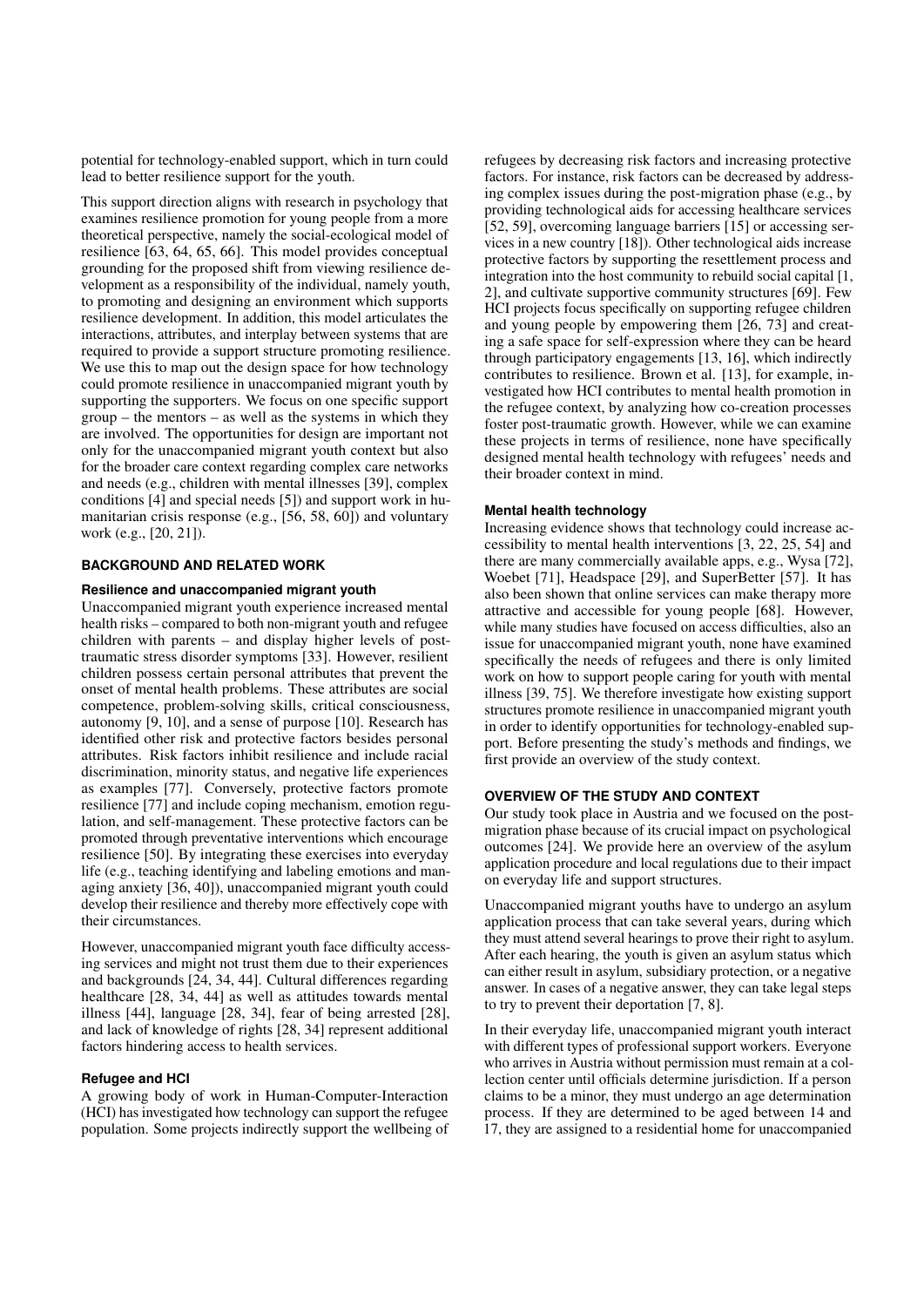potential for technology-enabled support, which in turn could lead to better resilience support for the youth.

This support direction aligns with research in psychology that examines resilience promotion for young people from a more theoretical perspective, namely the social-ecological model of resilience [63, 64, 65, 66]. This model provides conceptual grounding for the proposed shift from viewing resilience development as a responsibility of the individual, namely youth, to promoting and designing an environment which supports resilience development. In addition, this model articulates the interactions, attributes, and interplay between systems that are required to provide a support structure promoting resilience. We use this to map out the design space for how technology could promote resilience in unaccompanied migrant youth by supporting the supporters. We focus on one specific support group – the mentors – as well as the systems in which they are involved. The opportunities for design are important not only for the unaccompanied migrant youth context but also for the broader care context regarding complex care networks and needs (e.g., children with mental illnesses [39], complex conditions [4] and special needs [5]) and support work in humanitarian crisis response (e.g., [56, 58, 60]) and voluntary work (e.g., [20, 21]).

## **BACKGROUND AND RELATED WORK**

#### **Resilience and unaccompanied migrant youth**

Unaccompanied migrant youth experience increased mental health risks – compared to both non-migrant youth and refugee children with parents – and display higher levels of posttraumatic stress disorder symptoms [33]. However, resilient children possess certain personal attributes that prevent the onset of mental health problems. These attributes are social competence, problem-solving skills, critical consciousness, autonomy [9, 10], and a sense of purpose [10]. Research has identified other risk and protective factors besides personal attributes. Risk factors inhibit resilience and include racial discrimination, minority status, and negative life experiences as examples [77]. Conversely, protective factors promote resilience [77] and include coping mechanism, emotion regulation, and self-management. These protective factors can be promoted through preventative interventions which encourage resilience [50]. By integrating these exercises into everyday life (e.g., teaching identifying and labeling emotions and managing anxiety [36, 40]), unaccompanied migrant youth could develop their resilience and thereby more effectively cope with their circumstances.

However, unaccompanied migrant youth face difficulty accessing services and might not trust them due to their experiences and backgrounds [24, 34, 44]. Cultural differences regarding healthcare [28, 34, 44] as well as attitudes towards mental illness [44], language [28, 34], fear of being arrested [28], and lack of knowledge of rights [28, 34] represent additional factors hindering access to health services.

#### **Refugee and HCI**

A growing body of work in Human-Computer-Interaction (HCI) has investigated how technology can support the refugee population. Some projects indirectly support the wellbeing of refugees by decreasing risk factors and increasing protective factors. For instance, risk factors can be decreased by addressing complex issues during the post-migration phase (e.g., by providing technological aids for accessing healthcare services [52, 59], overcoming language barriers [15] or accessing services in a new country [18]). Other technological aids increase protective factors by supporting the resettlement process and integration into the host community to rebuild social capital [1, 2], and cultivate supportive community structures [69]. Few HCI projects focus specifically on supporting refugee children and young people by empowering them [26, 73] and creating a safe space for self-expression where they can be heard through participatory engagements [13, 16], which indirectly contributes to resilience. Brown et al. [13], for example, investigated how HCI contributes to mental health promotion in the refugee context, by analyzing how co-creation processes foster post-traumatic growth. However, while we can examine these projects in terms of resilience, none have specifically designed mental health technology with refugees' needs and their broader context in mind.

#### **Mental health technology**

Increasing evidence shows that technology could increase accessibility to mental health interventions [3, 22, 25, 54] and there are many commercially available apps, e.g., Wysa [72], Woebet [71], Headspace [29], and SuperBetter [57]. It has also been shown that online services can make therapy more attractive and accessible for young people [68]. However, while many studies have focused on access difficulties, also an issue for unaccompanied migrant youth, none have examined specifically the needs of refugees and there is only limited work on how to support people caring for youth with mental illness [39, 75]. We therefore investigate how existing support structures promote resilience in unaccompanied migrant youth in order to identify opportunities for technology-enabled support. Before presenting the study's methods and findings, we first provide an overview of the study context.

## **OVERVIEW OF THE STUDY AND CONTEXT**

Our study took place in Austria and we focused on the postmigration phase because of its crucial impact on psychological outcomes [24]. We provide here an overview of the asylum application procedure and local regulations due to their impact on everyday life and support structures.

Unaccompanied migrant youths have to undergo an asylum application process that can take several years, during which they must attend several hearings to prove their right to asylum. After each hearing, the youth is given an asylum status which can either result in asylum, subsidiary protection, or a negative answer. In cases of a negative answer, they can take legal steps to try to prevent their deportation [7, 8].

In their everyday life, unaccompanied migrant youth interact with different types of professional support workers. Everyone who arrives in Austria without permission must remain at a collection center until officials determine jurisdiction. If a person claims to be a minor, they must undergo an age determination process. If they are determined to be aged between 14 and 17, they are assigned to a residential home for unaccompanied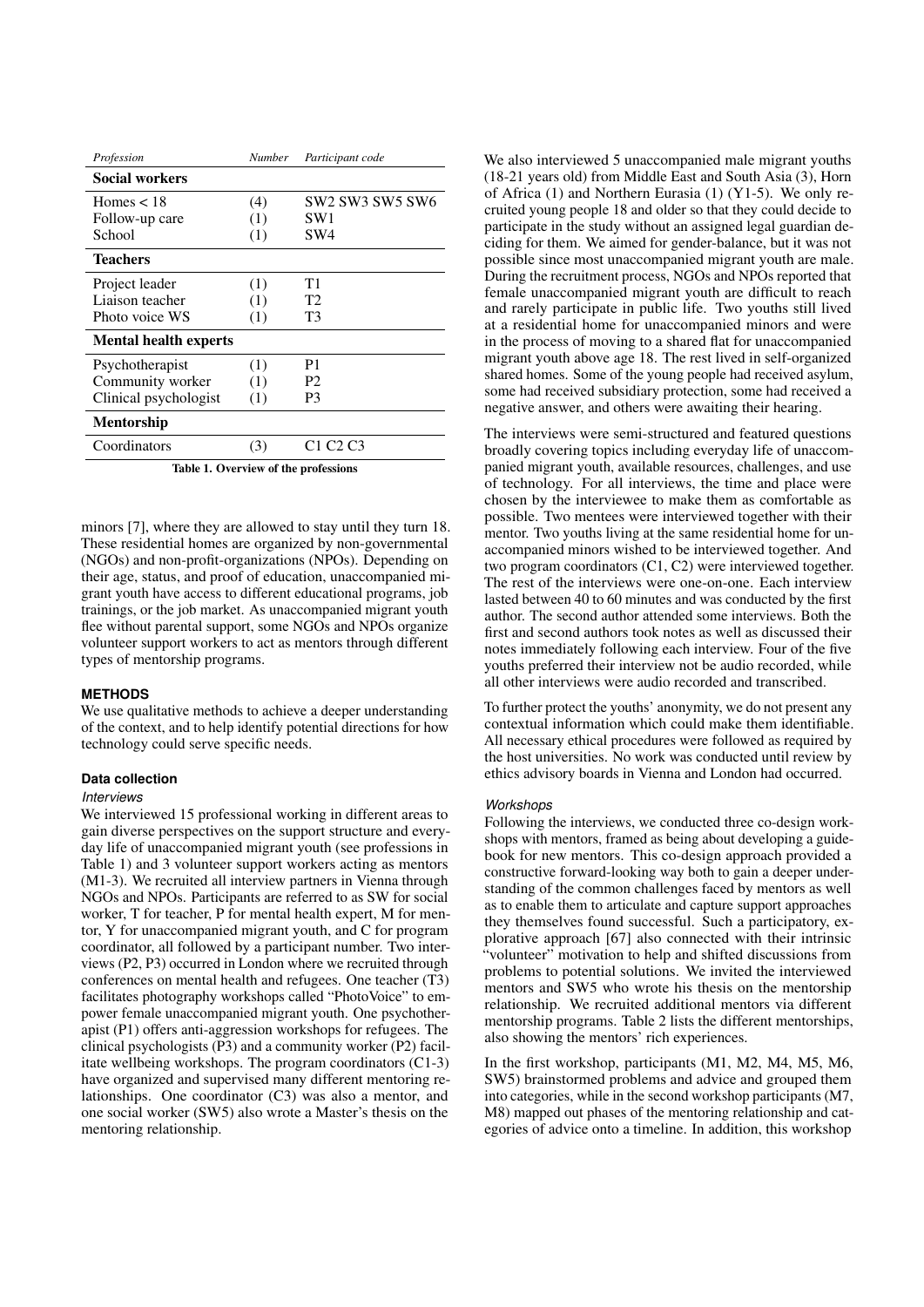| Profession                           | Number | Participant code                             |  |  |
|--------------------------------------|--------|----------------------------------------------|--|--|
| <b>Social workers</b>                |        |                                              |  |  |
| Homes $< 18$                         | (4)    | SW2 SW3 SW5 SW6                              |  |  |
| Follow-up care                       | (1)    | SW1                                          |  |  |
| School                               | (1)    | SW4                                          |  |  |
| <b>Teachers</b>                      |        |                                              |  |  |
| Project leader                       | (1)    | Τ1                                           |  |  |
| Liaison teacher                      | (1)    | Т2                                           |  |  |
| Photo voice WS                       | (1)    | T3                                           |  |  |
| <b>Mental health experts</b>         |        |                                              |  |  |
| Psychotherapist                      | (1)    | P1                                           |  |  |
| Community worker                     | (1)    | P2                                           |  |  |
| Clinical psychologist                | (1)    | P <sub>3</sub>                               |  |  |
| <b>Mentorship</b>                    |        |                                              |  |  |
| Coordinators                         | (3)    | C <sub>1</sub> C <sub>2</sub> C <sub>3</sub> |  |  |
| Table 1. Overview of the professions |        |                                              |  |  |

minors [7], where they are allowed to stay until they turn 18. These residential homes are organized by non-governmental (NGOs) and non-profit-organizations (NPOs). Depending on their age, status, and proof of education, unaccompanied migrant youth have access to different educational programs, job trainings, or the job market. As unaccompanied migrant youth flee without parental support, some NGOs and NPOs organize volunteer support workers to act as mentors through different types of mentorship programs.

#### **METHODS**

We use qualitative methods to achieve a deeper understanding of the context, and to help identify potential directions for how technology could serve specific needs.

#### **Data collection**

#### *Interviews*

We interviewed 15 professional working in different areas to gain diverse perspectives on the support structure and everyday life of unaccompanied migrant youth (see professions in Table 1) and 3 volunteer support workers acting as mentors (M1-3). We recruited all interview partners in Vienna through NGOs and NPOs. Participants are referred to as SW for social worker, T for teacher, P for mental health expert, M for mentor, Y for unaccompanied migrant youth, and C for program coordinator, all followed by a participant number. Two interviews (P2, P3) occurred in London where we recruited through conferences on mental health and refugees. One teacher (T3) facilitates photography workshops called "PhotoVoice" to empower female unaccompanied migrant youth. One psychotherapist (P1) offers anti-aggression workshops for refugees. The clinical psychologists (P3) and a community worker (P2) facilitate wellbeing workshops. The program coordinators (C1-3) have organized and supervised many different mentoring relationships. One coordinator (C3) was also a mentor, and one social worker (SW5) also wrote a Master's thesis on the mentoring relationship.

We also interviewed 5 unaccompanied male migrant youths (18-21 years old) from Middle East and South Asia (3), Horn of Africa (1) and Northern Eurasia (1) (Y1-5). We only recruited young people 18 and older so that they could decide to participate in the study without an assigned legal guardian deciding for them. We aimed for gender-balance, but it was not possible since most unaccompanied migrant youth are male. During the recruitment process, NGOs and NPOs reported that female unaccompanied migrant youth are difficult to reach and rarely participate in public life. Two youths still lived at a residential home for unaccompanied minors and were in the process of moving to a shared flat for unaccompanied migrant youth above age 18. The rest lived in self-organized shared homes. Some of the young people had received asylum, some had received subsidiary protection, some had received a negative answer, and others were awaiting their hearing.

The interviews were semi-structured and featured questions broadly covering topics including everyday life of unaccompanied migrant youth, available resources, challenges, and use of technology. For all interviews, the time and place were chosen by the interviewee to make them as comfortable as possible. Two mentees were interviewed together with their mentor. Two youths living at the same residential home for unaccompanied minors wished to be interviewed together. And two program coordinators (C1, C2) were interviewed together. The rest of the interviews were one-on-one. Each interview lasted between 40 to 60 minutes and was conducted by the first author. The second author attended some interviews. Both the first and second authors took notes as well as discussed their notes immediately following each interview. Four of the five youths preferred their interview not be audio recorded, while all other interviews were audio recorded and transcribed.

To further protect the youths' anonymity, we do not present any contextual information which could make them identifiable. All necessary ethical procedures were followed as required by the host universities. No work was conducted until review by ethics advisory boards in Vienna and London had occurred.

#### *Workshops*

Following the interviews, we conducted three co-design workshops with mentors, framed as being about developing a guidebook for new mentors. This co-design approach provided a constructive forward-looking way both to gain a deeper understanding of the common challenges faced by mentors as well as to enable them to articulate and capture support approaches they themselves found successful. Such a participatory, explorative approach [67] also connected with their intrinsic "volunteer" motivation to help and shifted discussions from problems to potential solutions. We invited the interviewed mentors and SW5 who wrote his thesis on the mentorship relationship. We recruited additional mentors via different mentorship programs. Table 2 lists the different mentorships, also showing the mentors' rich experiences.

In the first workshop, participants (M1, M2, M4, M5, M6, SW5) brainstormed problems and advice and grouped them into categories, while in the second workshop participants (M7, M8) mapped out phases of the mentoring relationship and categories of advice onto a timeline. In addition, this workshop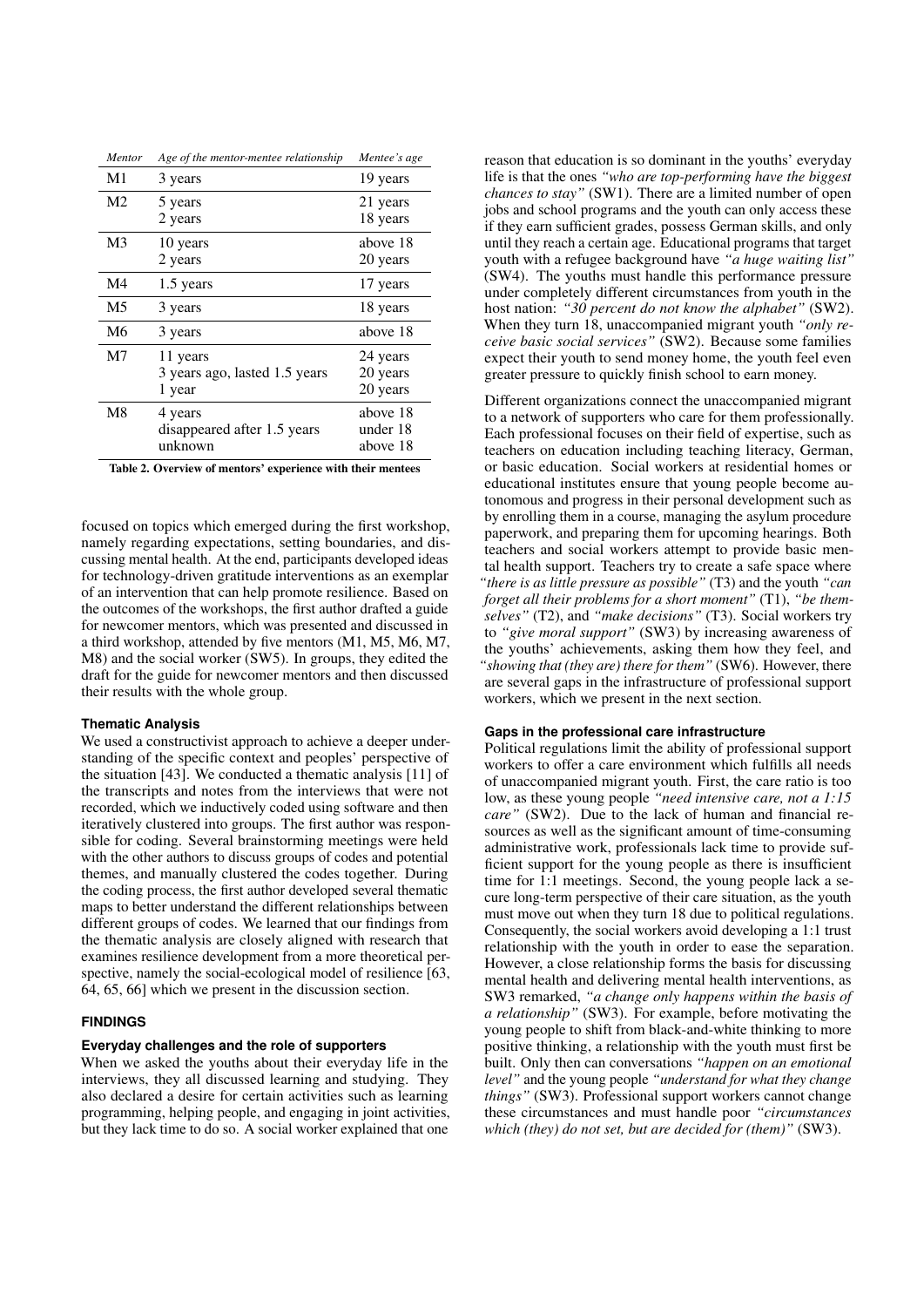| Mentor         | Age of the mentor-mentee relationship               | Mentee's age                     |
|----------------|-----------------------------------------------------|----------------------------------|
| M1             | 3 years                                             | 19 years                         |
| M <sub>2</sub> | 5 years<br>2 years                                  | 21 years<br>18 years             |
| M <sub>3</sub> | 10 years<br>2 years                                 | above 18<br>20 years             |
| M4             | 1.5 years                                           | 17 years                         |
| M5             | 3 years                                             | 18 years                         |
| M6             | 3 years                                             | above 18                         |
| M7             | 11 years<br>3 years ago, lasted 1.5 years<br>1 year | 24 years<br>20 years<br>20 years |
| M <sub>8</sub> | 4 years<br>disappeared after 1.5 years<br>unknown   | above 18<br>under 18<br>above 18 |

Table 2. Overview of mentors' experience with their mentees

focused on topics which emerged during the first workshop, namely regarding expectations, setting boundaries, and discussing mental health. At the end, participants developed ideas for technology-driven gratitude interventions as an exemplar of an intervention that can help promote resilience. Based on the outcomes of the workshops, the first author drafted a guide for newcomer mentors, which was presented and discussed in a third workshop, attended by five mentors (M1, M5, M6, M7, M8) and the social worker (SW5). In groups, they edited the draft for the guide for newcomer mentors and then discussed their results with the whole group.

#### **Thematic Analysis**

We used a constructivist approach to achieve a deeper understanding of the specific context and peoples' perspective of the situation [43]. We conducted a thematic analysis [11] of the transcripts and notes from the interviews that were not recorded, which we inductively coded using software and then iteratively clustered into groups. The first author was responsible for coding. Several brainstorming meetings were held with the other authors to discuss groups of codes and potential themes, and manually clustered the codes together. During the coding process, the first author developed several thematic maps to better understand the different relationships between different groups of codes. We learned that our findings from the thematic analysis are closely aligned with research that examines resilience development from a more theoretical perspective, namely the social-ecological model of resilience [63, 64, 65, 66] which we present in the discussion section.

## **FINDINGS**

## **Everyday challenges and the role of supporters**

When we asked the youths about their everyday life in the interviews, they all discussed learning and studying. They also declared a desire for certain activities such as learning programming, helping people, and engaging in joint activities, but they lack time to do so. A social worker explained that one

reason that education is so dominant in the youths' everyday life is that the ones *"who are top-performing have the biggest chances to stay"* (SW1). There are a limited number of open jobs and school programs and the youth can only access these if they earn sufficient grades, possess German skills, and only until they reach a certain age. Educational programs that target youth with a refugee background have *"a huge waiting list"* (SW4). The youths must handle this performance pressure under completely different circumstances from youth in the host nation: *"30 percent do not know the alphabet"* (SW2). When they turn 18, unaccompanied migrant youth *"only receive basic social services"* (SW2). Because some families expect their youth to send money home, the youth feel even greater pressure to quickly finish school to earn money.

Different organizations connect the unaccompanied migrant to a network of supporters who care for them professionally. Each professional focuses on their field of expertise, such as teachers on education including teaching literacy, German, or basic education. Social workers at residential homes or educational institutes ensure that young people become autonomous and progress in their personal development such as by enrolling them in a course, managing the asylum procedure paperwork, and preparing them for upcoming hearings. Both teachers and social workers attempt to provide basic mental health support. Teachers try to create a safe space where *"there is as little pressure as possible"* (T3) and the youth *"can forget all their problems for a short moment"* (T1), *"be themselves"* (T2), and *"make decisions"* (T3). Social workers try to *"give moral support"* (SW3) by increasing awareness of the youths' achievements, asking them how they feel, and *"showing that (they are) there for them"* (SW6). However, there are several gaps in the infrastructure of professional support workers, which we present in the next section.

#### **Gaps in the professional care infrastructure**

Political regulations limit the ability of professional support workers to offer a care environment which fulfills all needs of unaccompanied migrant youth. First, the care ratio is too low, as these young people *"need intensive care, not a 1:15 care"* (SW2). Due to the lack of human and financial resources as well as the significant amount of time-consuming administrative work, professionals lack time to provide sufficient support for the young people as there is insufficient time for 1:1 meetings. Second, the young people lack a secure long-term perspective of their care situation, as the youth must move out when they turn 18 due to political regulations. Consequently, the social workers avoid developing a 1:1 trust relationship with the youth in order to ease the separation. However, a close relationship forms the basis for discussing mental health and delivering mental health interventions, as SW3 remarked, *"a change only happens within the basis of a relationship"* (SW3). For example, before motivating the young people to shift from black-and-white thinking to more positive thinking, a relationship with the youth must first be built. Only then can conversations *"happen on an emotional level"* and the young people *"understand for what they change things"* (SW3). Professional support workers cannot change these circumstances and must handle poor *"circumstances which (they) do not set, but are decided for (them)"* (SW3).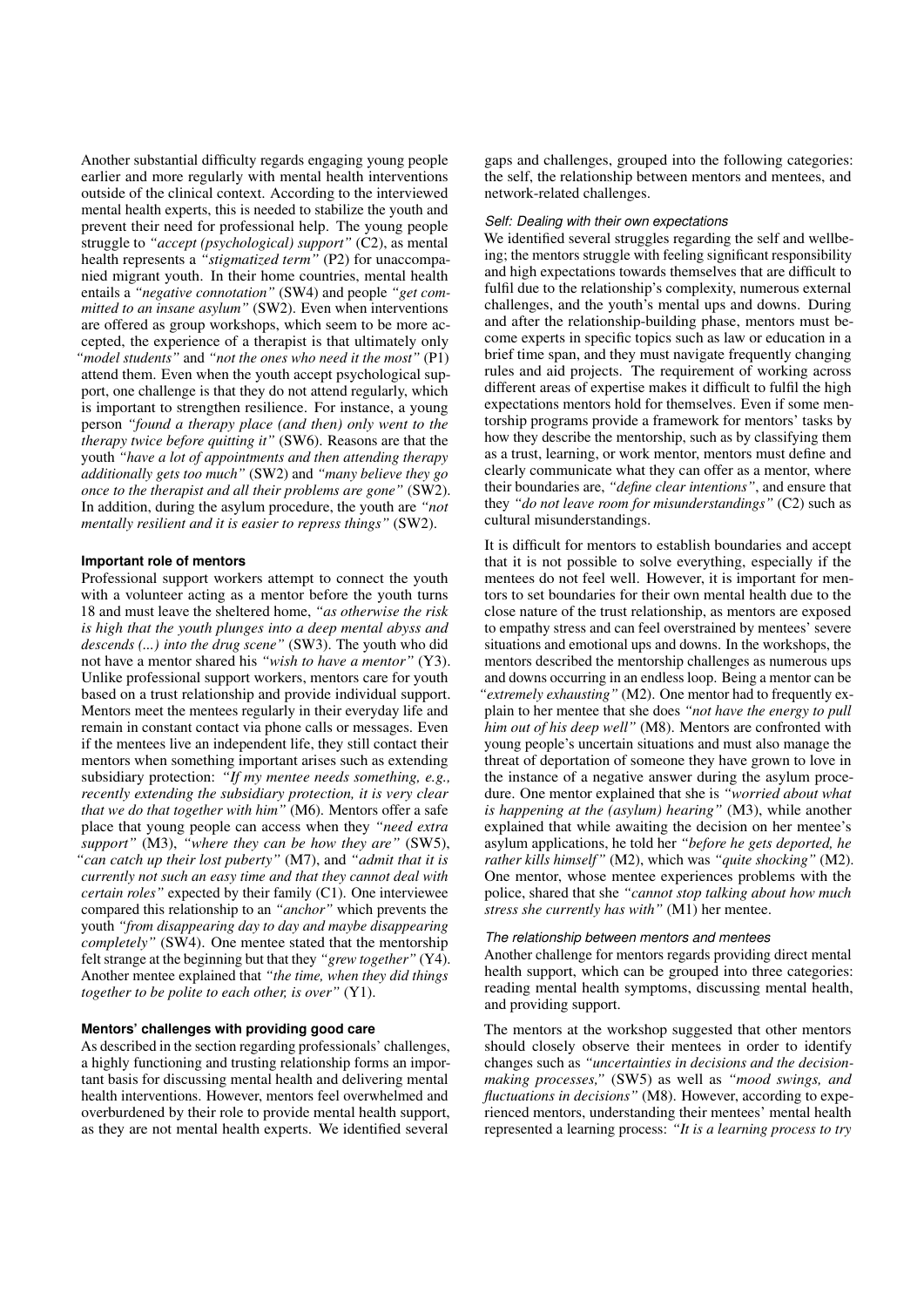Another substantial difficulty regards engaging young people earlier and more regularly with mental health interventions outside of the clinical context. According to the interviewed mental health experts, this is needed to stabilize the youth and prevent their need for professional help. The young people struggle to *"accept (psychological) support"* (C2), as mental health represents a *"stigmatized term"* (P2) for unaccompanied migrant youth. In their home countries, mental health entails a *"negative connotation"* (SW4) and people *"get committed to an insane asylum"* (SW2). Even when interventions are offered as group workshops, which seem to be more accepted, the experience of a therapist is that ultimately only *"model students"* and *"not the ones who need it the most"* (P1) attend them. Even when the youth accept psychological support, one challenge is that they do not attend regularly, which is important to strengthen resilience. For instance, a young person *"found a therapy place (and then) only went to the therapy twice before quitting it"* (SW6). Reasons are that the youth *"have a lot of appointments and then attending therapy additionally gets too much"* (SW2) and *"many believe they go once to the therapist and all their problems are gone"* (SW2). In addition, during the asylum procedure, the youth are *"not mentally resilient and it is easier to repress things"* (SW2).

## **Important role of mentors**

Professional support workers attempt to connect the youth with a volunteer acting as a mentor before the youth turns 18 and must leave the sheltered home, *"as otherwise the risk is high that the youth plunges into a deep mental abyss and descends (...) into the drug scene"* (SW3). The youth who did not have a mentor shared his *"wish to have a mentor"* (Y3). Unlike professional support workers, mentors care for youth based on a trust relationship and provide individual support. Mentors meet the mentees regularly in their everyday life and remain in constant contact via phone calls or messages. Even if the mentees live an independent life, they still contact their mentors when something important arises such as extending subsidiary protection: *"If my mentee needs something, e.g., recently extending the subsidiary protection, it is very clear that we do that together with him"* (M6). Mentors offer a safe place that young people can access when they *"need extra support"* (M3), *"where they can be how they are"* (SW5), *"can catch up their lost puberty"* (M7), and *"admit that it is currently not such an easy time and that they cannot deal with certain roles"* expected by their family (C1). One interviewee compared this relationship to an *"anchor"* which prevents the youth *"from disappearing day to day and maybe disappearing completely"* (SW4). One mentee stated that the mentorship felt strange at the beginning but that they *"grew together"* (Y4). Another mentee explained that *"the time, when they did things together to be polite to each other, is over"* (Y1).

## **Mentors' challenges with providing good care**

As described in the section regarding professionals' challenges, a highly functioning and trusting relationship forms an important basis for discussing mental health and delivering mental health interventions. However, mentors feel overwhelmed and overburdened by their role to provide mental health support, as they are not mental health experts. We identified several

gaps and challenges, grouped into the following categories: the self, the relationship between mentors and mentees, and network-related challenges.

#### *Self: Dealing with their own expectations*

We identified several struggles regarding the self and wellbeing; the mentors struggle with feeling significant responsibility and high expectations towards themselves that are difficult to fulfil due to the relationship's complexity, numerous external challenges, and the youth's mental ups and downs. During and after the relationship-building phase, mentors must become experts in specific topics such as law or education in a brief time span, and they must navigate frequently changing rules and aid projects. The requirement of working across different areas of expertise makes it difficult to fulfil the high expectations mentors hold for themselves. Even if some mentorship programs provide a framework for mentors' tasks by how they describe the mentorship, such as by classifying them as a trust, learning, or work mentor, mentors must define and clearly communicate what they can offer as a mentor, where their boundaries are, *"define clear intentions"*, and ensure that they *"do not leave room for misunderstandings"* (C2) such as cultural misunderstandings.

It is difficult for mentors to establish boundaries and accept that it is not possible to solve everything, especially if the mentees do not feel well. However, it is important for mentors to set boundaries for their own mental health due to the close nature of the trust relationship, as mentors are exposed to empathy stress and can feel overstrained by mentees' severe situations and emotional ups and downs. In the workshops, the mentors described the mentorship challenges as numerous ups and downs occurring in an endless loop. Being a mentor can be *"extremely exhausting"* (M2). One mentor had to frequently explain to her mentee that she does *"not have the energy to pull him out of his deep well"* (M8). Mentors are confronted with young people's uncertain situations and must also manage the threat of deportation of someone they have grown to love in the instance of a negative answer during the asylum procedure. One mentor explained that she is *"worried about what is happening at the (asylum) hearing"* (M3), while another explained that while awaiting the decision on her mentee's asylum applications, he told her *"before he gets deported, he rather kills himself"* (M2), which was *"quite shocking"* (M2). One mentor, whose mentee experiences problems with the police, shared that she *"cannot stop talking about how much stress she currently has with"* (M1) her mentee.

#### *The relationship between mentors and mentees*

Another challenge for mentors regards providing direct mental health support, which can be grouped into three categories: reading mental health symptoms, discussing mental health, and providing support.

The mentors at the workshop suggested that other mentors should closely observe their mentees in order to identify changes such as *"uncertainties in decisions and the decisionmaking processes,"* (SW5) as well as *"mood swings, and fluctuations in decisions"* (M8). However, according to experienced mentors, understanding their mentees' mental health represented a learning process: *"It is a learning process to try*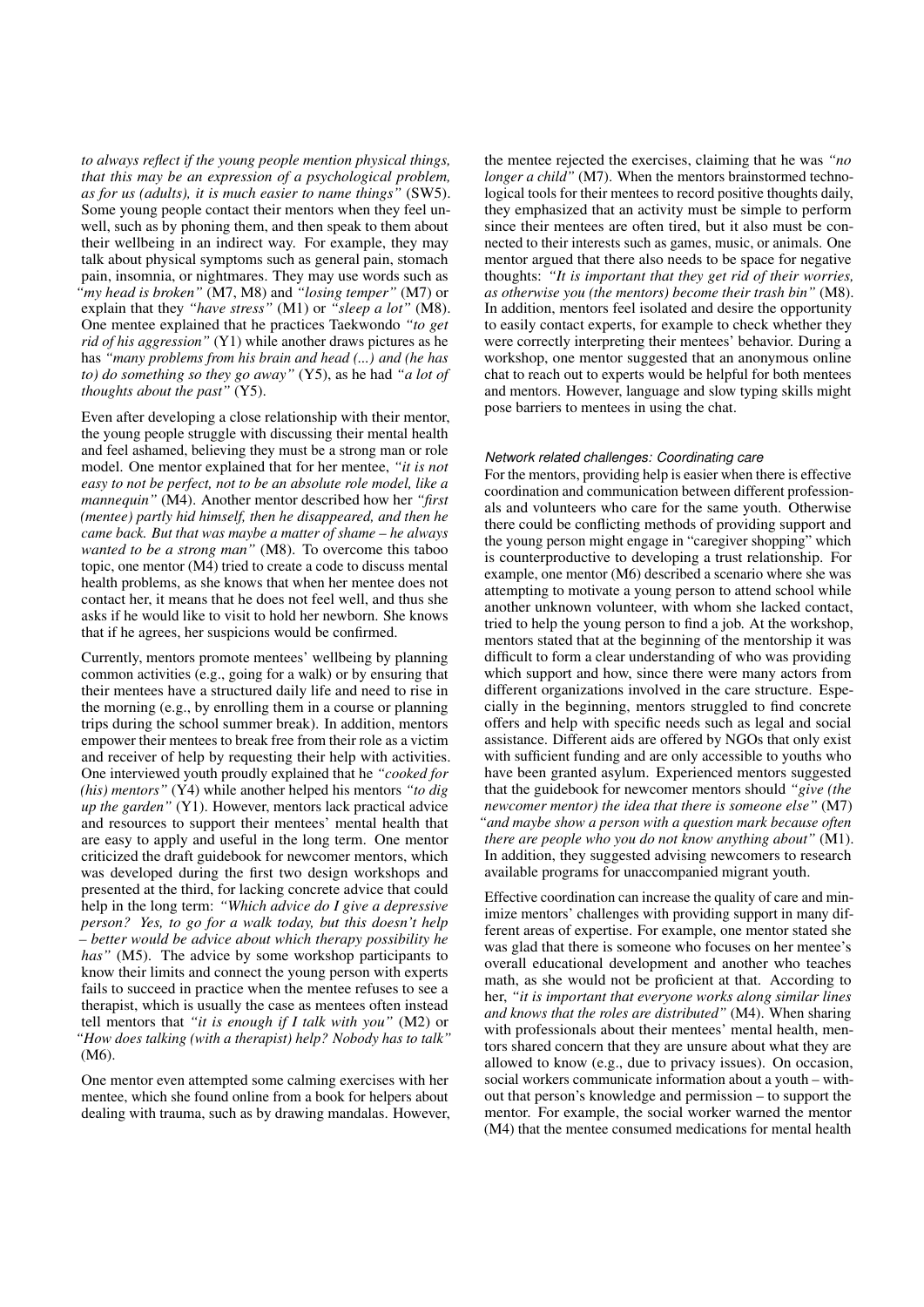*to always reflect if the young people mention physical things, that this may be an expression of a psychological problem, as for us (adults), it is much easier to name things"* (SW5). Some young people contact their mentors when they feel unwell, such as by phoning them, and then speak to them about their wellbeing in an indirect way. For example, they may talk about physical symptoms such as general pain, stomach pain, insomnia, or nightmares. They may use words such as *"my head is broken"* (M7, M8) and *"losing temper"* (M7) or explain that they *"have stress"* (M1) or *"sleep a lot"* (M8). One mentee explained that he practices Taekwondo *"to get rid of his aggression"* (Y1) while another draws pictures as he has *"many problems from his brain and head (...) and (he has to) do something so they go away"* (Y5), as he had *"a lot of thoughts about the past"* (Y5).

Even after developing a close relationship with their mentor, the young people struggle with discussing their mental health and feel ashamed, believing they must be a strong man or role model. One mentor explained that for her mentee, *"it is not easy to not be perfect, not to be an absolute role model, like a mannequin"* (M4). Another mentor described how her *"first (mentee) partly hid himself, then he disappeared, and then he came back. But that was maybe a matter of shame – he always wanted to be a strong man"* (M8). To overcome this taboo topic, one mentor (M4) tried to create a code to discuss mental health problems, as she knows that when her mentee does not contact her, it means that he does not feel well, and thus she asks if he would like to visit to hold her newborn. She knows that if he agrees, her suspicions would be confirmed.

Currently, mentors promote mentees' wellbeing by planning common activities (e.g., going for a walk) or by ensuring that their mentees have a structured daily life and need to rise in the morning (e.g., by enrolling them in a course or planning trips during the school summer break). In addition, mentors empower their mentees to break free from their role as a victim and receiver of help by requesting their help with activities. One interviewed youth proudly explained that he *"cooked for (his) mentors"* (Y4) while another helped his mentors *"to dig up the garden"* (Y1). However, mentors lack practical advice and resources to support their mentees' mental health that are easy to apply and useful in the long term. One mentor criticized the draft guidebook for newcomer mentors, which was developed during the first two design workshops and presented at the third, for lacking concrete advice that could help in the long term: *"Which advice do I give a depressive person? Yes, to go for a walk today, but this doesn't help – better would be advice about which therapy possibility he has"* (M5). The advice by some workshop participants to know their limits and connect the young person with experts fails to succeed in practice when the mentee refuses to see a therapist, which is usually the case as mentees often instead tell mentors that *"it is enough if I talk with you"* (M2) or *"How does talking (with a therapist) help? Nobody has to talk"* (M6).

One mentor even attempted some calming exercises with her mentee, which she found online from a book for helpers about dealing with trauma, such as by drawing mandalas. However, the mentee rejected the exercises, claiming that he was *"no longer a child"* (M7). When the mentors brainstormed technological tools for their mentees to record positive thoughts daily, they emphasized that an activity must be simple to perform since their mentees are often tired, but it also must be connected to their interests such as games, music, or animals. One mentor argued that there also needs to be space for negative thoughts: *"It is important that they get rid of their worries, as otherwise you (the mentors) become their trash bin"* (M8). In addition, mentors feel isolated and desire the opportunity to easily contact experts, for example to check whether they were correctly interpreting their mentees' behavior. During a workshop, one mentor suggested that an anonymous online chat to reach out to experts would be helpful for both mentees and mentors. However, language and slow typing skills might pose barriers to mentees in using the chat.

#### *Network related challenges: Coordinating care*

For the mentors, providing help is easier when there is effective coordination and communication between different professionals and volunteers who care for the same youth. Otherwise there could be conflicting methods of providing support and the young person might engage in "caregiver shopping" which is counterproductive to developing a trust relationship. For example, one mentor (M6) described a scenario where she was attempting to motivate a young person to attend school while another unknown volunteer, with whom she lacked contact, tried to help the young person to find a job. At the workshop, mentors stated that at the beginning of the mentorship it was difficult to form a clear understanding of who was providing which support and how, since there were many actors from different organizations involved in the care structure. Especially in the beginning, mentors struggled to find concrete offers and help with specific needs such as legal and social assistance. Different aids are offered by NGOs that only exist with sufficient funding and are only accessible to youths who have been granted asylum. Experienced mentors suggested that the guidebook for newcomer mentors should *"give (the newcomer mentor) the idea that there is someone else"* (M7) *"and maybe show a person with a question mark because often there are people who you do not know anything about"* (M1). In addition, they suggested advising newcomers to research available programs for unaccompanied migrant youth.

Effective coordination can increase the quality of care and minimize mentors' challenges with providing support in many different areas of expertise. For example, one mentor stated she was glad that there is someone who focuses on her mentee's overall educational development and another who teaches math, as she would not be proficient at that. According to her, *"it is important that everyone works along similar lines and knows that the roles are distributed"* (M4). When sharing with professionals about their mentees' mental health, mentors shared concern that they are unsure about what they are allowed to know (e.g., due to privacy issues). On occasion, social workers communicate information about a youth – without that person's knowledge and permission – to support the mentor. For example, the social worker warned the mentor (M4) that the mentee consumed medications for mental health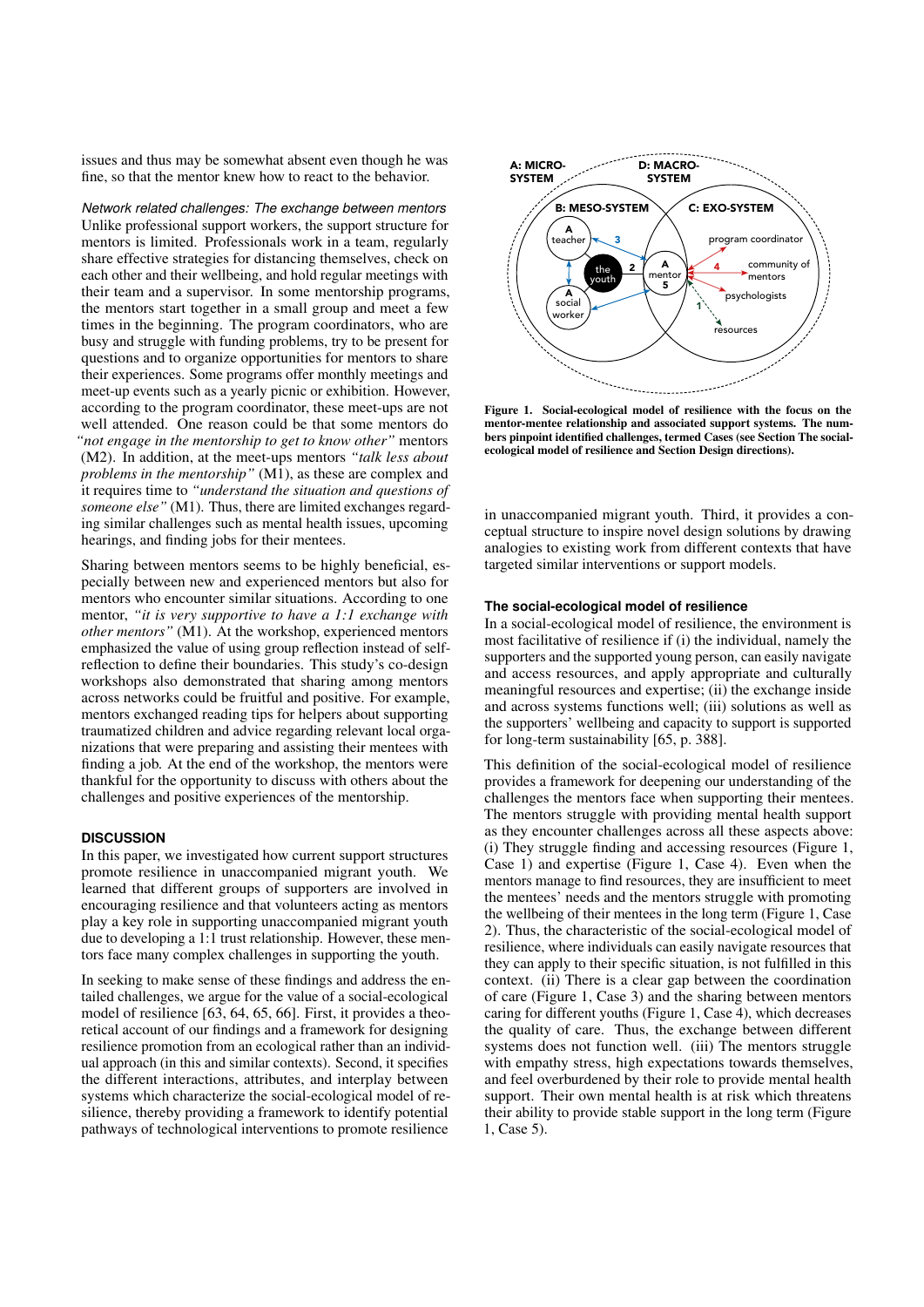issues and thus may be somewhat absent even though he was fine, so that the mentor knew how to react to the behavior.

*Network related challenges: The exchange between mentors* Unlike professional support workers, the support structure for mentors is limited. Professionals work in a team, regularly share effective strategies for distancing themselves, check on each other and their wellbeing, and hold regular meetings with their team and a supervisor. In some mentorship programs, the mentors start together in a small group and meet a few times in the beginning. The program coordinators, who are busy and struggle with funding problems, try to be present for questions and to organize opportunities for mentors to share their experiences. Some programs offer monthly meetings and meet-up events such as a yearly picnic or exhibition. However, according to the program coordinator, these meet-ups are not well attended. One reason could be that some mentors do *"not engage in the mentorship to get to know other"* mentors (M2). In addition, at the meet-ups mentors *"talk less about problems in the mentorship"* (M1), as these are complex and it requires time to *"understand the situation and questions of someone else"* (M1). Thus, there are limited exchanges regarding similar challenges such as mental health issues, upcoming hearings, and finding jobs for their mentees.

Sharing between mentors seems to be highly beneficial, especially between new and experienced mentors but also for mentors who encounter similar situations. According to one mentor, *"it is very supportive to have a 1:1 exchange with other mentors"* (M1). At the workshop, experienced mentors emphasized the value of using group reflection instead of selfreflection to define their boundaries. This study's co-design workshops also demonstrated that sharing among mentors across networks could be fruitful and positive. For example, mentors exchanged reading tips for helpers about supporting traumatized children and advice regarding relevant local organizations that were preparing and assisting their mentees with finding a job. At the end of the workshop, the mentors were thankful for the opportunity to discuss with others about the challenges and positive experiences of the mentorship.

## **DISCUSSION**

In this paper, we investigated how current support structures promote resilience in unaccompanied migrant youth. We learned that different groups of supporters are involved in encouraging resilience and that volunteers acting as mentors play a key role in supporting unaccompanied migrant youth due to developing a 1:1 trust relationship. However, these mentors face many complex challenges in supporting the youth.

In seeking to make sense of these findings and address the entailed challenges, we argue for the value of a social-ecological model of resilience [63, 64, 65, 66]. First, it provides a theoretical account of our findings and a framework for designing resilience promotion from an ecological rather than an individual approach (in this and similar contexts). Second, it specifies the different interactions, attributes, and interplay between systems which characterize the social-ecological model of resilience, thereby providing a framework to identify potential pathways of technological interventions to promote resilience



Figure 1. Social-ecological model of resilience with the focus on the mentor-mentee relationship and associated support systems. The numbers pinpoint identified challenges, termed Cases (see Section The socialecological model of resilience and Section Design directions).

in unaccompanied migrant youth. Third, it provides a conceptual structure to inspire novel design solutions by drawing analogies to existing work from different contexts that have targeted similar interventions or support models.

## **The social-ecological model of resilience**

In a social-ecological model of resilience, the environment is most facilitative of resilience if (i) the individual, namely the supporters and the supported young person, can easily navigate and access resources, and apply appropriate and culturally meaningful resources and expertise; (ii) the exchange inside and across systems functions well; (iii) solutions as well as the supporters' wellbeing and capacity to support is supported for long-term sustainability [65, p. 388].

This definition of the social-ecological model of resilience provides a framework for deepening our understanding of the challenges the mentors face when supporting their mentees. The mentors struggle with providing mental health support as they encounter challenges across all these aspects above: (i) They struggle finding and accessing resources (Figure 1, Case 1) and expertise (Figure 1, Case 4). Even when the mentors manage to find resources, they are insufficient to meet the mentees' needs and the mentors struggle with promoting the wellbeing of their mentees in the long term (Figure 1, Case 2). Thus, the characteristic of the social-ecological model of resilience, where individuals can easily navigate resources that they can apply to their specific situation, is not fulfilled in this context. (ii) There is a clear gap between the coordination of care (Figure 1, Case 3) and the sharing between mentors caring for different youths (Figure 1, Case 4), which decreases the quality of care. Thus, the exchange between different systems does not function well. (iii) The mentors struggle with empathy stress, high expectations towards themselves, and feel overburdened by their role to provide mental health support. Their own mental health is at risk which threatens their ability to provide stable support in the long term (Figure 1, Case 5).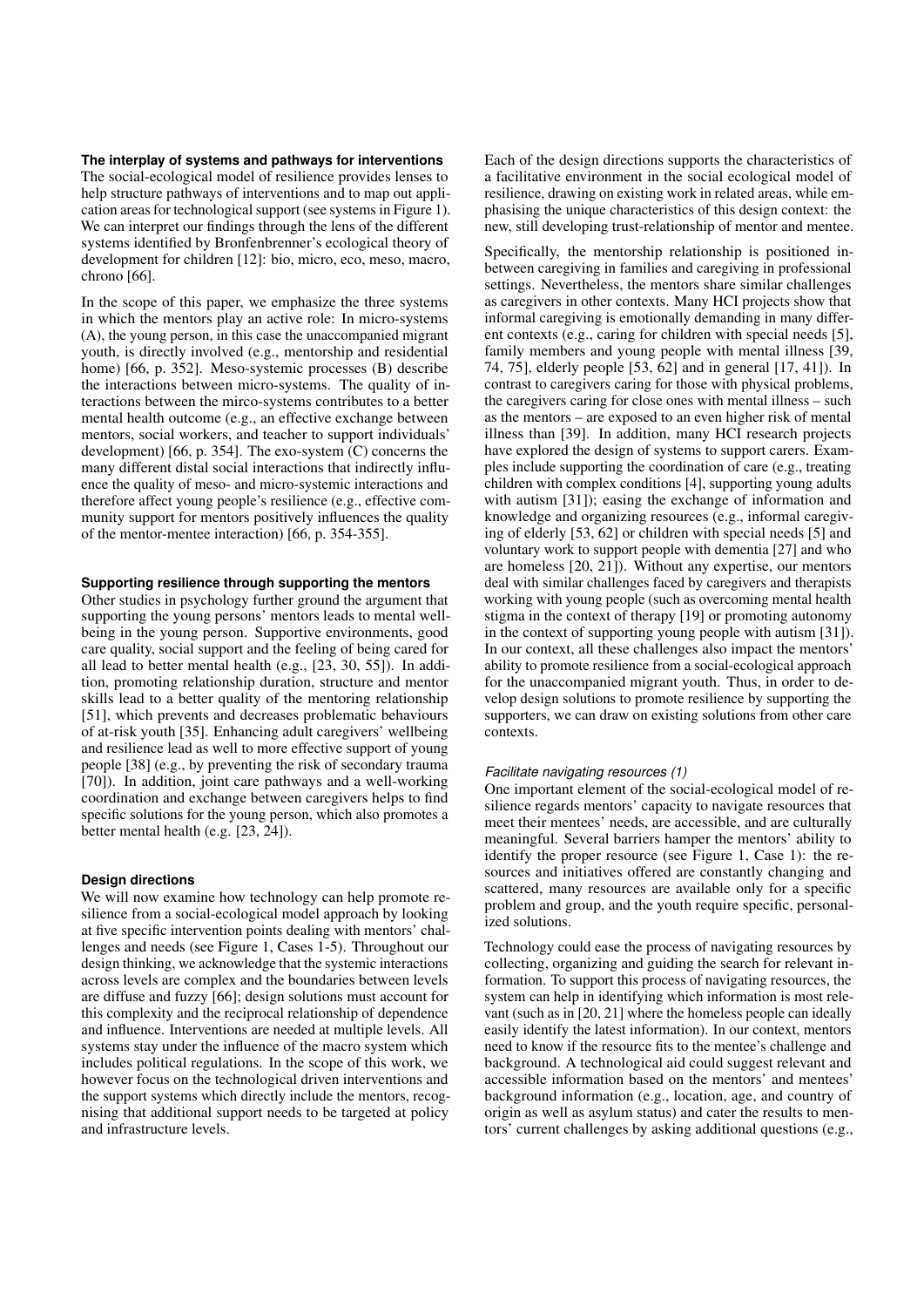**The interplay of systems and pathways for interventions** The social-ecological model of resilience provides lenses to help structure pathways of interventions and to map out application areas for technological support (see systems in Figure 1). We can interpret our findings through the lens of the different systems identified by Bronfenbrenner's ecological theory of development for children [12]: bio, micro, eco, meso, macro, chrono [66].

In the scope of this paper, we emphasize the three systems in which the mentors play an active role: In micro-systems (A), the young person, in this case the unaccompanied migrant youth, is directly involved (e.g., mentorship and residential home) [66, p. 352]. Meso-systemic processes (B) describe the interactions between micro-systems. The quality of interactions between the mirco-systems contributes to a better mental health outcome (e.g., an effective exchange between mentors, social workers, and teacher to support individuals' development) [66, p. 354]. The exo-system (C) concerns the many different distal social interactions that indirectly influence the quality of meso- and micro-systemic interactions and therefore affect young people's resilience (e.g., effective community support for mentors positively influences the quality of the mentor-mentee interaction) [66, p. 354-355].

## **Supporting resilience through supporting the mentors**

Other studies in psychology further ground the argument that supporting the young persons' mentors leads to mental wellbeing in the young person. Supportive environments, good care quality, social support and the feeling of being cared for all lead to better mental health (e.g., [23, 30, 55]). In addition, promoting relationship duration, structure and mentor skills lead to a better quality of the mentoring relationship [51], which prevents and decreases problematic behaviours of at-risk youth [35]. Enhancing adult caregivers' wellbeing and resilience lead as well to more effective support of young people [38] (e.g., by preventing the risk of secondary trauma [70]). In addition, joint care pathways and a well-working coordination and exchange between caregivers helps to find specific solutions for the young person, which also promotes a better mental health (e.g. [23, 24]).

## **Design directions**

We will now examine how technology can help promote resilience from a social-ecological model approach by looking at five specific intervention points dealing with mentors' challenges and needs (see Figure 1, Cases 1-5). Throughout our design thinking, we acknowledge that the systemic interactions across levels are complex and the boundaries between levels are diffuse and fuzzy [66]; design solutions must account for this complexity and the reciprocal relationship of dependence and influence. Interventions are needed at multiple levels. All systems stay under the influence of the macro system which includes political regulations. In the scope of this work, we however focus on the technological driven interventions and the support systems which directly include the mentors, recognising that additional support needs to be targeted at policy and infrastructure levels.

Each of the design directions supports the characteristics of a facilitative environment in the social ecological model of resilience, drawing on existing work in related areas, while emphasising the unique characteristics of this design context: the new, still developing trust-relationship of mentor and mentee.

Specifically, the mentorship relationship is positioned inbetween caregiving in families and caregiving in professional settings. Nevertheless, the mentors share similar challenges as caregivers in other contexts. Many HCI projects show that informal caregiving is emotionally demanding in many different contexts (e.g., caring for children with special needs [5], family members and young people with mental illness [39, 74, 75], elderly people [53, 62] and in general [17, 41]). In contrast to caregivers caring for those with physical problems, the caregivers caring for close ones with mental illness – such as the mentors – are exposed to an even higher risk of mental illness than [39]. In addition, many HCI research projects have explored the design of systems to support carers. Examples include supporting the coordination of care (e.g., treating children with complex conditions [4], supporting young adults with autism [31]); easing the exchange of information and knowledge and organizing resources (e.g., informal caregiving of elderly [53, 62] or children with special needs [5] and voluntary work to support people with dementia [27] and who are homeless [20, 21]). Without any expertise, our mentors deal with similar challenges faced by caregivers and therapists working with young people (such as overcoming mental health stigma in the context of therapy [19] or promoting autonomy in the context of supporting young people with autism [31]). In our context, all these challenges also impact the mentors' ability to promote resilience from a social-ecological approach for the unaccompanied migrant youth. Thus, in order to develop design solutions to promote resilience by supporting the supporters, we can draw on existing solutions from other care contexts.

## *Facilitate navigating resources (1)*

One important element of the social-ecological model of resilience regards mentors' capacity to navigate resources that meet their mentees' needs, are accessible, and are culturally meaningful. Several barriers hamper the mentors' ability to identify the proper resource (see Figure 1, Case 1): the resources and initiatives offered are constantly changing and scattered, many resources are available only for a specific problem and group, and the youth require specific, personalized solutions.

Technology could ease the process of navigating resources by collecting, organizing and guiding the search for relevant information. To support this process of navigating resources, the system can help in identifying which information is most relevant (such as in [20, 21] where the homeless people can ideally easily identify the latest information). In our context, mentors need to know if the resource fits to the mentee's challenge and background. A technological aid could suggest relevant and accessible information based on the mentors' and mentees' background information (e.g., location, age, and country of origin as well as asylum status) and cater the results to mentors' current challenges by asking additional questions (e.g.,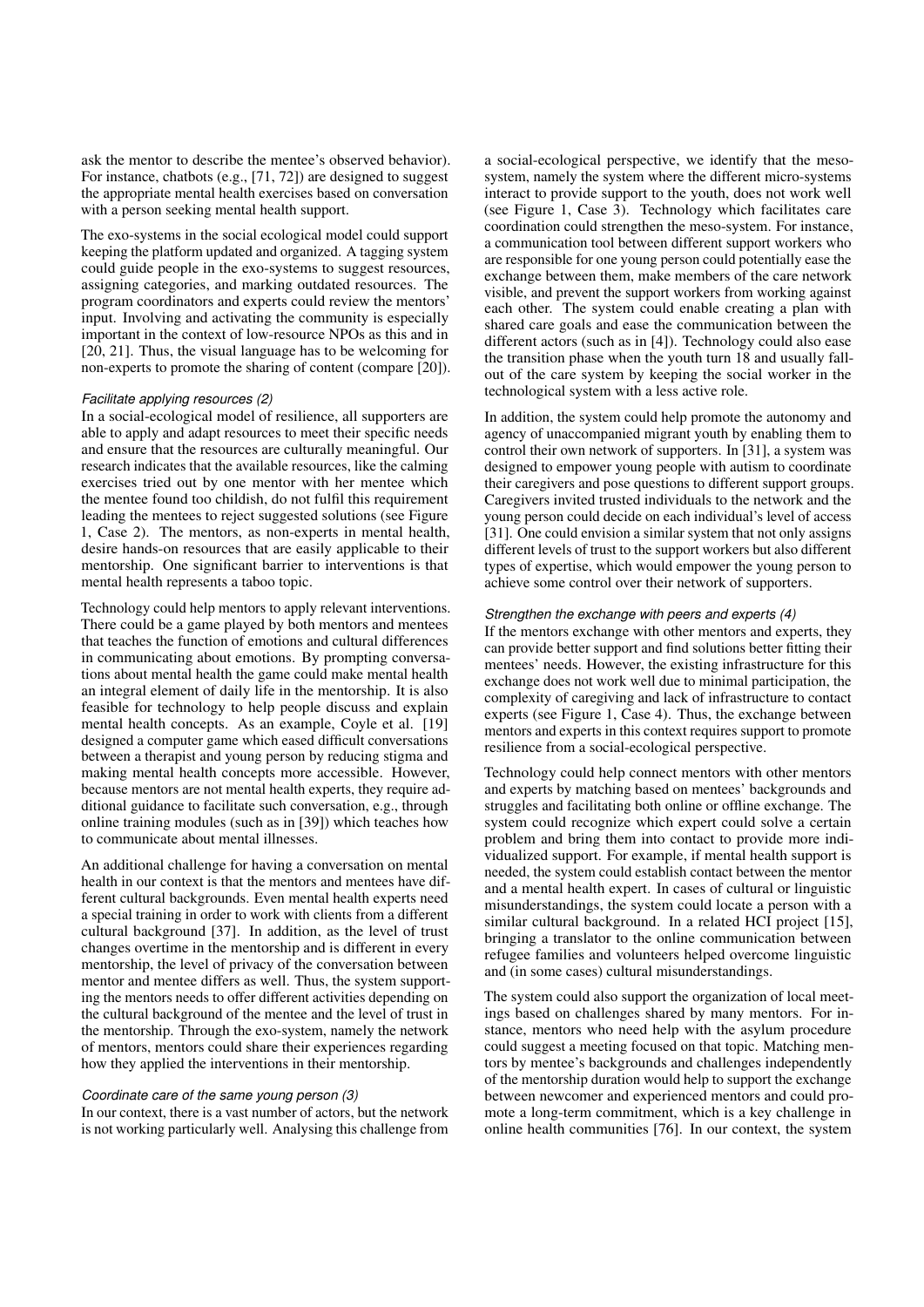ask the mentor to describe the mentee's observed behavior). For instance, chatbots (e.g., [71, 72]) are designed to suggest the appropriate mental health exercises based on conversation with a person seeking mental health support.

The exo-systems in the social ecological model could support keeping the platform updated and organized. A tagging system could guide people in the exo-systems to suggest resources, assigning categories, and marking outdated resources. The program coordinators and experts could review the mentors' input. Involving and activating the community is especially important in the context of low-resource NPOs as this and in [20, 21]. Thus, the visual language has to be welcoming for non-experts to promote the sharing of content (compare [20]).

#### *Facilitate applying resources (2)*

In a social-ecological model of resilience, all supporters are able to apply and adapt resources to meet their specific needs and ensure that the resources are culturally meaningful. Our research indicates that the available resources, like the calming exercises tried out by one mentor with her mentee which the mentee found too childish, do not fulfil this requirement leading the mentees to reject suggested solutions (see Figure 1, Case 2). The mentors, as non-experts in mental health, desire hands-on resources that are easily applicable to their mentorship. One significant barrier to interventions is that mental health represents a taboo topic.

Technology could help mentors to apply relevant interventions. There could be a game played by both mentors and mentees that teaches the function of emotions and cultural differences in communicating about emotions. By prompting conversations about mental health the game could make mental health an integral element of daily life in the mentorship. It is also feasible for technology to help people discuss and explain mental health concepts. As an example, Coyle et al. [19] designed a computer game which eased difficult conversations between a therapist and young person by reducing stigma and making mental health concepts more accessible. However, because mentors are not mental health experts, they require additional guidance to facilitate such conversation, e.g., through online training modules (such as in [39]) which teaches how to communicate about mental illnesses.

An additional challenge for having a conversation on mental health in our context is that the mentors and mentees have different cultural backgrounds. Even mental health experts need a special training in order to work with clients from a different cultural background [37]. In addition, as the level of trust changes overtime in the mentorship and is different in every mentorship, the level of privacy of the conversation between mentor and mentee differs as well. Thus, the system supporting the mentors needs to offer different activities depending on the cultural background of the mentee and the level of trust in the mentorship. Through the exo-system, namely the network of mentors, mentors could share their experiences regarding how they applied the interventions in their mentorship.

#### *Coordinate care of the same young person (3)*

In our context, there is a vast number of actors, but the network is not working particularly well. Analysing this challenge from a social-ecological perspective, we identify that the mesosystem, namely the system where the different micro-systems interact to provide support to the youth, does not work well (see Figure 1, Case 3). Technology which facilitates care coordination could strengthen the meso-system. For instance, a communication tool between different support workers who are responsible for one young person could potentially ease the exchange between them, make members of the care network visible, and prevent the support workers from working against each other. The system could enable creating a plan with shared care goals and ease the communication between the different actors (such as in [4]). Technology could also ease the transition phase when the youth turn 18 and usually fallout of the care system by keeping the social worker in the technological system with a less active role.

In addition, the system could help promote the autonomy and agency of unaccompanied migrant youth by enabling them to control their own network of supporters. In [31], a system was designed to empower young people with autism to coordinate their caregivers and pose questions to different support groups. Caregivers invited trusted individuals to the network and the young person could decide on each individual's level of access [31]. One could envision a similar system that not only assigns different levels of trust to the support workers but also different types of expertise, which would empower the young person to achieve some control over their network of supporters.

#### *Strengthen the exchange with peers and experts (4)*

If the mentors exchange with other mentors and experts, they can provide better support and find solutions better fitting their mentees' needs. However, the existing infrastructure for this exchange does not work well due to minimal participation, the complexity of caregiving and lack of infrastructure to contact experts (see Figure 1, Case 4). Thus, the exchange between mentors and experts in this context requires support to promote resilience from a social-ecological perspective.

Technology could help connect mentors with other mentors and experts by matching based on mentees' backgrounds and struggles and facilitating both online or offline exchange. The system could recognize which expert could solve a certain problem and bring them into contact to provide more individualized support. For example, if mental health support is needed, the system could establish contact between the mentor and a mental health expert. In cases of cultural or linguistic misunderstandings, the system could locate a person with a similar cultural background. In a related HCI project [15], bringing a translator to the online communication between refugee families and volunteers helped overcome linguistic and (in some cases) cultural misunderstandings.

The system could also support the organization of local meetings based on challenges shared by many mentors. For instance, mentors who need help with the asylum procedure could suggest a meeting focused on that topic. Matching mentors by mentee's backgrounds and challenges independently of the mentorship duration would help to support the exchange between newcomer and experienced mentors and could promote a long-term commitment, which is a key challenge in online health communities [76]. In our context, the system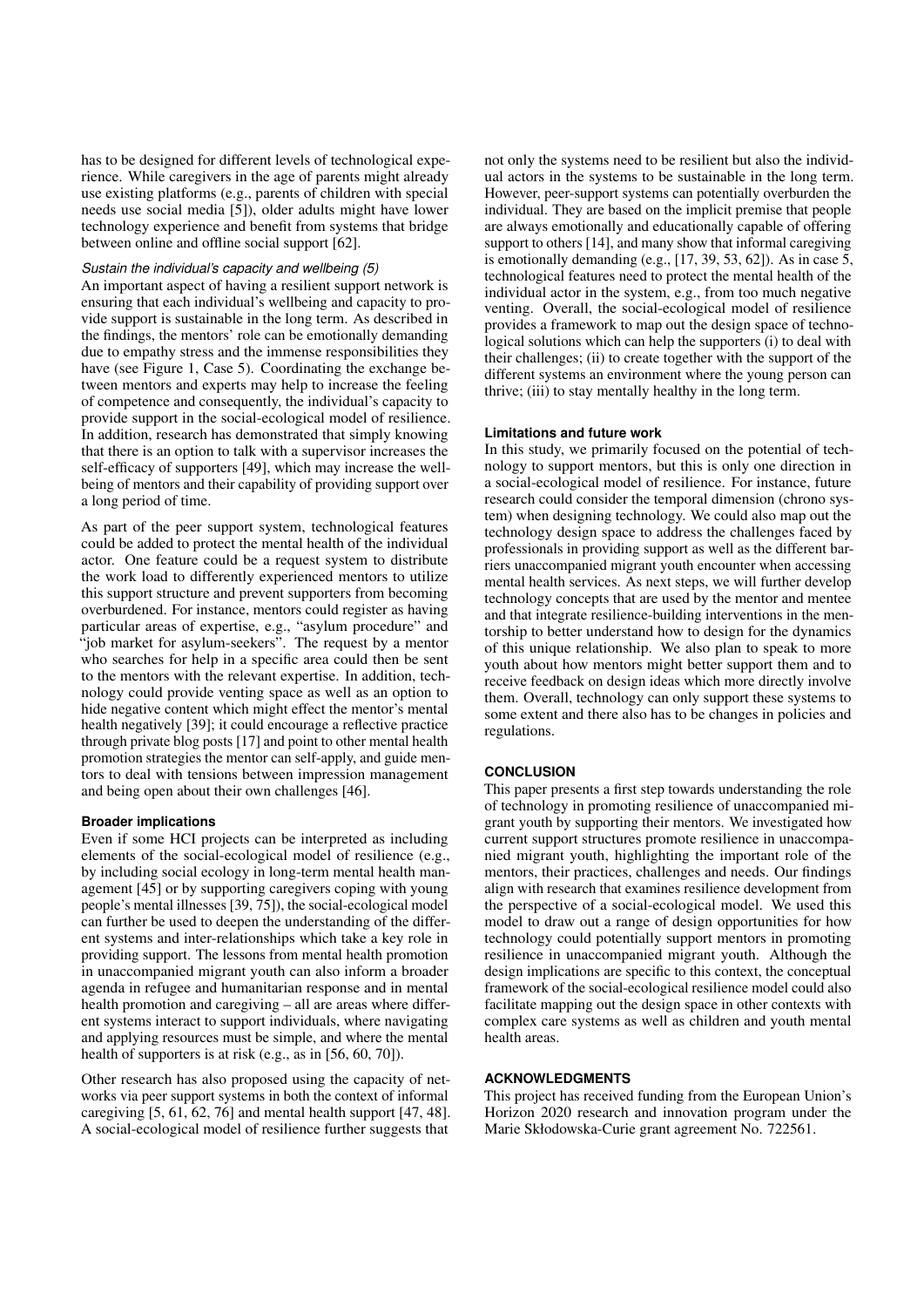has to be designed for different levels of technological experience. While caregivers in the age of parents might already use existing platforms (e.g., parents of children with special needs use social media [5]), older adults might have lower technology experience and benefit from systems that bridge between online and offline social support [62].

## *Sustain the individual's capacity and wellbeing (5)*

An important aspect of having a resilient support network is ensuring that each individual's wellbeing and capacity to provide support is sustainable in the long term. As described in the findings, the mentors' role can be emotionally demanding due to empathy stress and the immense responsibilities they have (see Figure 1, Case 5). Coordinating the exchange between mentors and experts may help to increase the feeling of competence and consequently, the individual's capacity to provide support in the social-ecological model of resilience. In addition, research has demonstrated that simply knowing that there is an option to talk with a supervisor increases the self-efficacy of supporters [49], which may increase the wellbeing of mentors and their capability of providing support over a long period of time.

As part of the peer support system, technological features could be added to protect the mental health of the individual actor. One feature could be a request system to distribute the work load to differently experienced mentors to utilize this support structure and prevent supporters from becoming overburdened. For instance, mentors could register as having particular areas of expertise, e.g., "asylum procedure" and "job market for asylum-seekers". The request by a mentor who searches for help in a specific area could then be sent to the mentors with the relevant expertise. In addition, technology could provide venting space as well as an option to hide negative content which might effect the mentor's mental health negatively [39]; it could encourage a reflective practice through private blog posts [17] and point to other mental health promotion strategies the mentor can self-apply, and guide mentors to deal with tensions between impression management and being open about their own challenges [46].

#### **Broader implications**

Even if some HCI projects can be interpreted as including elements of the social-ecological model of resilience (e.g., by including social ecology in long-term mental health management [45] or by supporting caregivers coping with young people's mental illnesses [39, 75]), the social-ecological model can further be used to deepen the understanding of the different systems and inter-relationships which take a key role in providing support. The lessons from mental health promotion in unaccompanied migrant youth can also inform a broader agenda in refugee and humanitarian response and in mental health promotion and caregiving – all are areas where different systems interact to support individuals, where navigating and applying resources must be simple, and where the mental health of supporters is at risk (e.g., as in [56, 60, 70]).

Other research has also proposed using the capacity of networks via peer support systems in both the context of informal caregiving [5, 61, 62, 76] and mental health support [47, 48]. A social-ecological model of resilience further suggests that

not only the systems need to be resilient but also the individual actors in the systems to be sustainable in the long term. However, peer-support systems can potentially overburden the individual. They are based on the implicit premise that people are always emotionally and educationally capable of offering support to others [14], and many show that informal caregiving is emotionally demanding (e.g., [17, 39, 53, 62]). As in case 5, technological features need to protect the mental health of the individual actor in the system, e.g., from too much negative venting. Overall, the social-ecological model of resilience provides a framework to map out the design space of technological solutions which can help the supporters (i) to deal with their challenges; (ii) to create together with the support of the different systems an environment where the young person can thrive; (iii) to stay mentally healthy in the long term.

## **Limitations and future work**

In this study, we primarily focused on the potential of technology to support mentors, but this is only one direction in a social-ecological model of resilience. For instance, future research could consider the temporal dimension (chrono system) when designing technology. We could also map out the technology design space to address the challenges faced by professionals in providing support as well as the different barriers unaccompanied migrant youth encounter when accessing mental health services. As next steps, we will further develop technology concepts that are used by the mentor and mentee and that integrate resilience-building interventions in the mentorship to better understand how to design for the dynamics of this unique relationship. We also plan to speak to more youth about how mentors might better support them and to receive feedback on design ideas which more directly involve them. Overall, technology can only support these systems to some extent and there also has to be changes in policies and regulations.

## **CONCLUSION**

This paper presents a first step towards understanding the role of technology in promoting resilience of unaccompanied migrant youth by supporting their mentors. We investigated how current support structures promote resilience in unaccompanied migrant youth, highlighting the important role of the mentors, their practices, challenges and needs. Our findings align with research that examines resilience development from the perspective of a social-ecological model. We used this model to draw out a range of design opportunities for how technology could potentially support mentors in promoting resilience in unaccompanied migrant youth. Although the design implications are specific to this context, the conceptual framework of the social-ecological resilience model could also facilitate mapping out the design space in other contexts with complex care systems as well as children and youth mental health areas.

#### **ACKNOWLEDGMENTS**

This project has received funding from the European Union's Horizon 2020 research and innovation program under the Marie Skłodowska-Curie grant agreement No. 722561.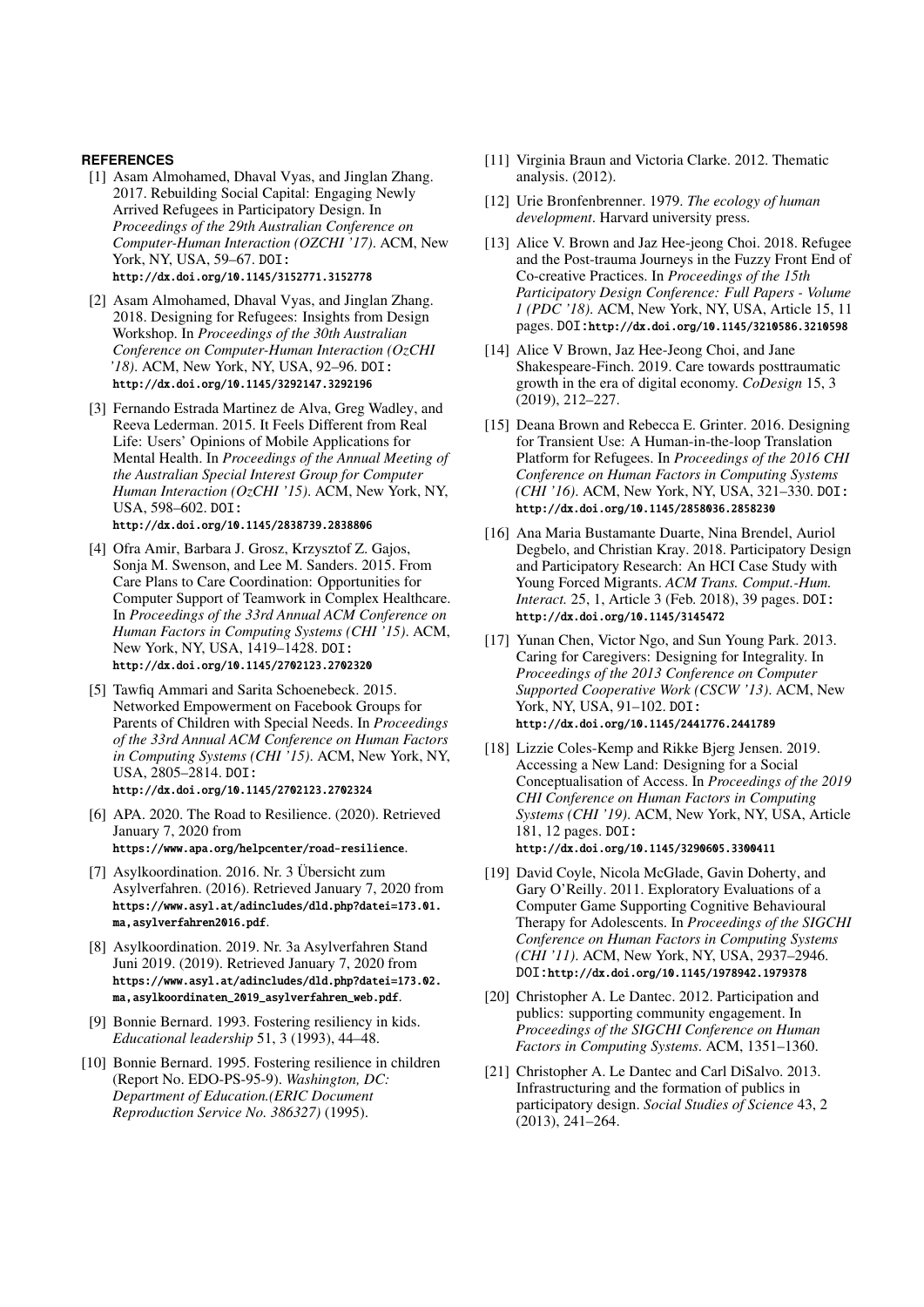## **REFERENCES**

- [1] Asam Almohamed, Dhaval Vyas, and Jinglan Zhang. 2017. Rebuilding Social Capital: Engaging Newly Arrived Refugees in Participatory Design. In *Proceedings of the 29th Australian Conference on Computer-Human Interaction (OZCHI '17)*. ACM, New York, NY, USA, 59–67. DOI: http://dx.doi.org/10.1145/3152771.3152778
- [2] Asam Almohamed, Dhaval Vyas, and Jinglan Zhang. 2018. Designing for Refugees: Insights from Design Workshop. In *Proceedings of the 30th Australian Conference on Computer-Human Interaction (OzCHI '18)*. ACM, New York, NY, USA, 92–96. DOI: http://dx.doi.org/10.1145/3292147.3292196
- [3] Fernando Estrada Martinez de Alva, Greg Wadley, and Reeva Lederman. 2015. It Feels Different from Real Life: Users' Opinions of Mobile Applications for Mental Health. In *Proceedings of the Annual Meeting of the Australian Special Interest Group for Computer Human Interaction (OzCHI '15)*. ACM, New York, NY, USA, 598–602. DOI:

http://dx.doi.org/10.1145/2838739.2838806

- [4] Ofra Amir, Barbara J. Grosz, Krzysztof Z. Gajos, Sonja M. Swenson, and Lee M. Sanders. 2015. From Care Plans to Care Coordination: Opportunities for Computer Support of Teamwork in Complex Healthcare. In *Proceedings of the 33rd Annual ACM Conference on Human Factors in Computing Systems (CHI '15)*. ACM, New York, NY, USA, 1419–1428. DOI: http://dx.doi.org/10.1145/2702123.2702320
- [5] Tawfiq Ammari and Sarita Schoenebeck. 2015. Networked Empowerment on Facebook Groups for Parents of Children with Special Needs. In *Proceedings of the 33rd Annual ACM Conference on Human Factors in Computing Systems (CHI '15)*. ACM, New York, NY, USA, 2805–2814. DOI: http://dx.doi.org/10.1145/2702123.2702324
- [6] APA. 2020. The Road to Resilience. (2020). Retrieved January 7, 2020 from https://www.apa.org/helpcenter/road-resilience.
- [7] Asylkoordination. 2016. Nr. 3 Übersicht zum Asylverfahren. (2016). Retrieved January 7, 2020 from https://www.asyl.at/adincludes/dld.php?datei=173.01. ma,asylverfahren2016.pdf.
- [8] Asylkoordination. 2019. Nr. 3a Asylverfahren Stand Juni 2019. (2019). Retrieved January 7, 2020 from https://www.asyl.at/adincludes/dld.php?datei=173.02. ma,asylkoordinaten\_2019\_asylverfahren\_web.pdf.
- [9] Bonnie Bernard. 1993. Fostering resiliency in kids. *Educational leadership* 51, 3 (1993), 44–48.
- [10] Bonnie Bernard. 1995. Fostering resilience in children (Report No. EDO-PS-95-9). *Washington, DC: Department of Education.(ERIC Document Reproduction Service No. 386327)* (1995).
- [11] Virginia Braun and Victoria Clarke. 2012. Thematic analysis. (2012).
- [12] Urie Bronfenbrenner. 1979. *The ecology of human development*. Harvard university press.
- [13] Alice V. Brown and Jaz Hee-jeong Choi. 2018. Refugee and the Post-trauma Journeys in the Fuzzy Front End of Co-creative Practices. In *Proceedings of the 15th Participatory Design Conference: Full Papers - Volume 1 (PDC '18)*. ACM, New York, NY, USA, Article 15, 11 pages. DOI:http://dx.doi.org/10.1145/3210586.3210598
- [14] Alice V Brown, Jaz Hee-Jeong Choi, and Jane Shakespeare-Finch. 2019. Care towards posttraumatic growth in the era of digital economy. *CoDesign* 15, 3 (2019), 212–227.
- [15] Deana Brown and Rebecca E. Grinter. 2016. Designing for Transient Use: A Human-in-the-loop Translation Platform for Refugees. In *Proceedings of the 2016 CHI Conference on Human Factors in Computing Systems (CHI '16)*. ACM, New York, NY, USA, 321–330. DOI: http://dx.doi.org/10.1145/2858036.2858230
- [16] Ana Maria Bustamante Duarte, Nina Brendel, Auriol Degbelo, and Christian Kray. 2018. Participatory Design and Participatory Research: An HCI Case Study with Young Forced Migrants. *ACM Trans. Comput.-Hum. Interact.* 25, 1, Article 3 (Feb. 2018), 39 pages. DOI: http://dx.doi.org/10.1145/3145472
- [17] Yunan Chen, Victor Ngo, and Sun Young Park. 2013. Caring for Caregivers: Designing for Integrality. In *Proceedings of the 2013 Conference on Computer Supported Cooperative Work (CSCW '13)*. ACM, New York, NY, USA, 91-102. DOI: http://dx.doi.org/10.1145/2441776.2441789
- [18] Lizzie Coles-Kemp and Rikke Bjerg Jensen. 2019. Accessing a New Land: Designing for a Social Conceptualisation of Access. In *Proceedings of the 2019 CHI Conference on Human Factors in Computing Systems (CHI '19)*. ACM, New York, NY, USA, Article 181, 12 pages. DOI: http://dx.doi.org/10.1145/3290605.3300411
- [19] David Coyle, Nicola McGlade, Gavin Doherty, and Gary O'Reilly. 2011. Exploratory Evaluations of a Computer Game Supporting Cognitive Behavioural Therapy for Adolescents. In *Proceedings of the SIGCHI Conference on Human Factors in Computing Systems (CHI '11)*. ACM, New York, NY, USA, 2937–2946. DOI:http://dx.doi.org/10.1145/1978942.1979378
- [20] Christopher A. Le Dantec. 2012. Participation and publics: supporting community engagement. In *Proceedings of the SIGCHI Conference on Human Factors in Computing Systems*. ACM, 1351–1360.
- [21] Christopher A. Le Dantec and Carl DiSalvo. 2013. Infrastructuring and the formation of publics in participatory design. *Social Studies of Science* 43, 2 (2013), 241–264.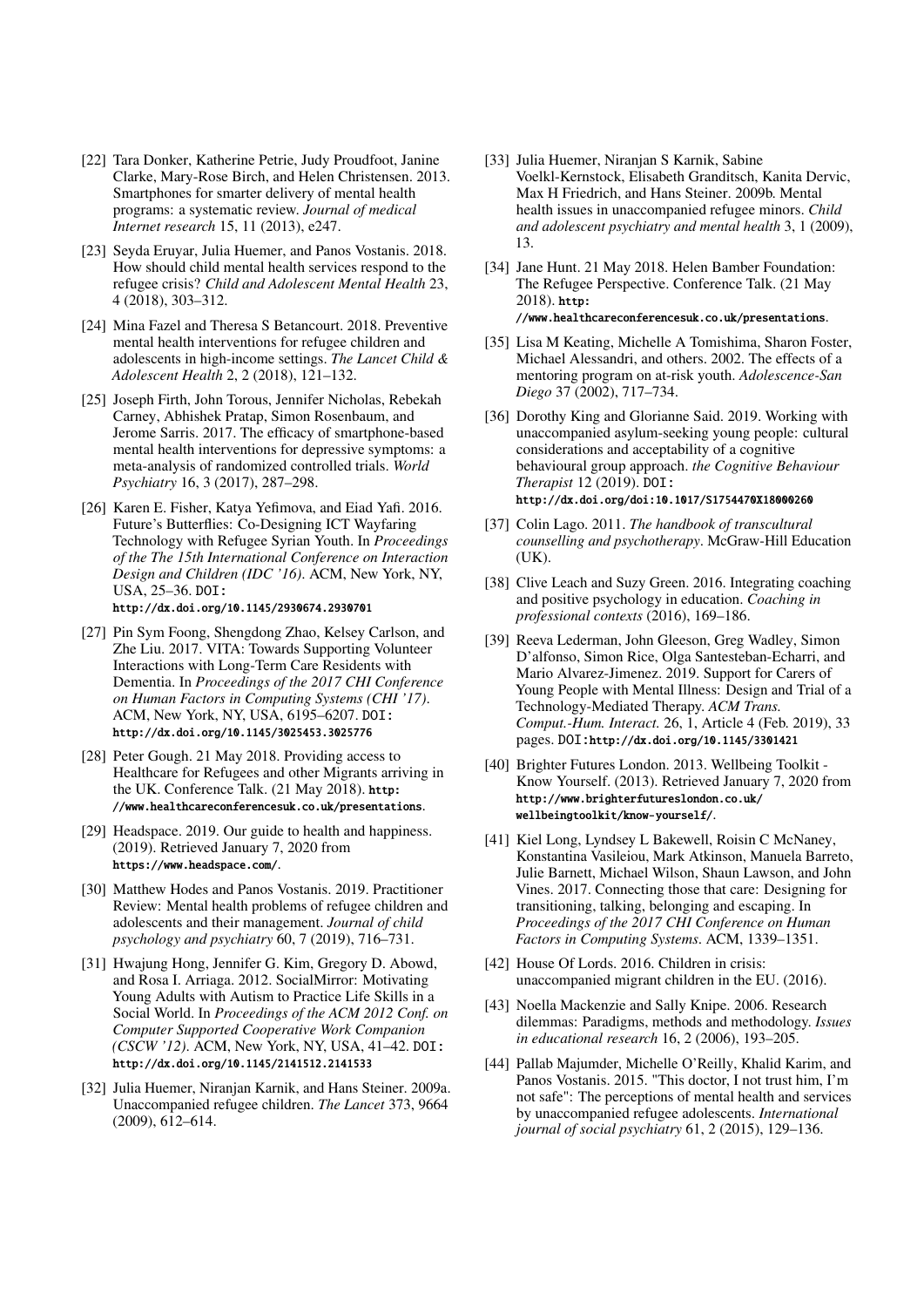- [22] Tara Donker, Katherine Petrie, Judy Proudfoot, Janine Clarke, Mary-Rose Birch, and Helen Christensen. 2013. Smartphones for smarter delivery of mental health programs: a systematic review. *Journal of medical Internet research* 15, 11 (2013), e247.
- [23] Seyda Eruyar, Julia Huemer, and Panos Vostanis. 2018. How should child mental health services respond to the refugee crisis? *Child and Adolescent Mental Health* 23, 4 (2018), 303–312.
- [24] Mina Fazel and Theresa S Betancourt. 2018. Preventive mental health interventions for refugee children and adolescents in high-income settings. *The Lancet Child & Adolescent Health* 2, 2 (2018), 121–132.
- [25] Joseph Firth, John Torous, Jennifer Nicholas, Rebekah Carney, Abhishek Pratap, Simon Rosenbaum, and Jerome Sarris. 2017. The efficacy of smartphone-based mental health interventions for depressive symptoms: a meta-analysis of randomized controlled trials. *World Psychiatry* 16, 3 (2017), 287–298.
- [26] Karen E. Fisher, Katya Yefimova, and Eiad Yafi. 2016. Future's Butterflies: Co-Designing ICT Wayfaring Technology with Refugee Syrian Youth. In *Proceedings of the The 15th International Conference on Interaction Design and Children (IDC '16)*. ACM, New York, NY, USA, 25–36. DOI:

http://dx.doi.org/10.1145/2930674.2930701

- [27] Pin Sym Foong, Shengdong Zhao, Kelsey Carlson, and Zhe Liu. 2017. VITA: Towards Supporting Volunteer Interactions with Long-Term Care Residents with Dementia. In *Proceedings of the 2017 CHI Conference on Human Factors in Computing Systems (CHI '17)*. ACM, New York, NY, USA, 6195–6207. DOI: http://dx.doi.org/10.1145/3025453.3025776
- [28] Peter Gough. 21 May 2018. Providing access to Healthcare for Refugees and other Migrants arriving in the UK. Conference Talk. (21 May 2018). http: //www.healthcareconferencesuk.co.uk/presentations.
- [29] Headspace. 2019. Our guide to health and happiness. (2019). Retrieved January 7, 2020 from https://www.headspace.com/.
- [30] Matthew Hodes and Panos Vostanis. 2019. Practitioner Review: Mental health problems of refugee children and adolescents and their management. *Journal of child psychology and psychiatry* 60, 7 (2019), 716–731.
- [31] Hwajung Hong, Jennifer G. Kim, Gregory D. Abowd, and Rosa I. Arriaga. 2012. SocialMirror: Motivating Young Adults with Autism to Practice Life Skills in a Social World. In *Proceedings of the ACM 2012 Conf. on Computer Supported Cooperative Work Companion (CSCW '12)*. ACM, New York, NY, USA, 41–42. DOI: http://dx.doi.org/10.1145/2141512.2141533
- [32] Julia Huemer, Niranjan Karnik, and Hans Steiner. 2009a. Unaccompanied refugee children. *The Lancet* 373, 9664 (2009), 612–614.
- [33] Julia Huemer, Niranjan S Karnik, Sabine Voelkl-Kernstock, Elisabeth Granditsch, Kanita Dervic, Max H Friedrich, and Hans Steiner. 2009b. Mental health issues in unaccompanied refugee minors. *Child and adolescent psychiatry and mental health* 3, 1 (2009), 13.
- [34] Jane Hunt. 21 May 2018. Helen Bamber Foundation: The Refugee Perspective. Conference Talk. (21 May 2018). http: //www.healthcareconferencesuk.co.uk/presentations.
- [35] Lisa M Keating, Michelle A Tomishima, Sharon Foster, Michael Alessandri, and others. 2002. The effects of a mentoring program on at-risk youth. *Adolescence-San Diego* 37 (2002), 717–734.
- [36] Dorothy King and Glorianne Said. 2019. Working with unaccompanied asylum-seeking young people: cultural considerations and acceptability of a cognitive behavioural group approach. *the Cognitive Behaviour Therapist* 12 (2019). DOI: http://dx.doi.org/doi:10.1017/S1754470X18000260
- [37] Colin Lago. 2011. *The handbook of transcultural counselling and psychotherapy*. McGraw-Hill Education (UK).
- [38] Clive Leach and Suzy Green. 2016. Integrating coaching and positive psychology in education. *Coaching in professional contexts* (2016), 169–186.
- [39] Reeva Lederman, John Gleeson, Greg Wadley, Simon D'alfonso, Simon Rice, Olga Santesteban-Echarri, and Mario Alvarez-Jimenez. 2019. Support for Carers of Young People with Mental Illness: Design and Trial of a Technology-Mediated Therapy. *ACM Trans. Comput.-Hum. Interact.* 26, 1, Article 4 (Feb. 2019), 33 pages. DOI:http://dx.doi.org/10.1145/3301421
- [40] Brighter Futures London. 2013. Wellbeing Toolkit -Know Yourself. (2013). Retrieved January 7, 2020 from http://www.brighterfutureslondon.co.uk/ wellbeingtoolkit/know-yourself/.
- [41] Kiel Long, Lyndsey L Bakewell, Roisin C McNaney, Konstantina Vasileiou, Mark Atkinson, Manuela Barreto, Julie Barnett, Michael Wilson, Shaun Lawson, and John Vines. 2017. Connecting those that care: Designing for transitioning, talking, belonging and escaping. In *Proceedings of the 2017 CHI Conference on Human Factors in Computing Systems*. ACM, 1339–1351.
- [42] House Of Lords. 2016. Children in crisis: unaccompanied migrant children in the EU. (2016).
- [43] Noella Mackenzie and Sally Knipe. 2006. Research dilemmas: Paradigms, methods and methodology. *Issues in educational research* 16, 2 (2006), 193–205.
- [44] Pallab Majumder, Michelle O'Reilly, Khalid Karim, and Panos Vostanis. 2015. "This doctor, I not trust him, I'm not safe": The perceptions of mental health and services by unaccompanied refugee adolescents. *International journal of social psychiatry* 61, 2 (2015), 129–136.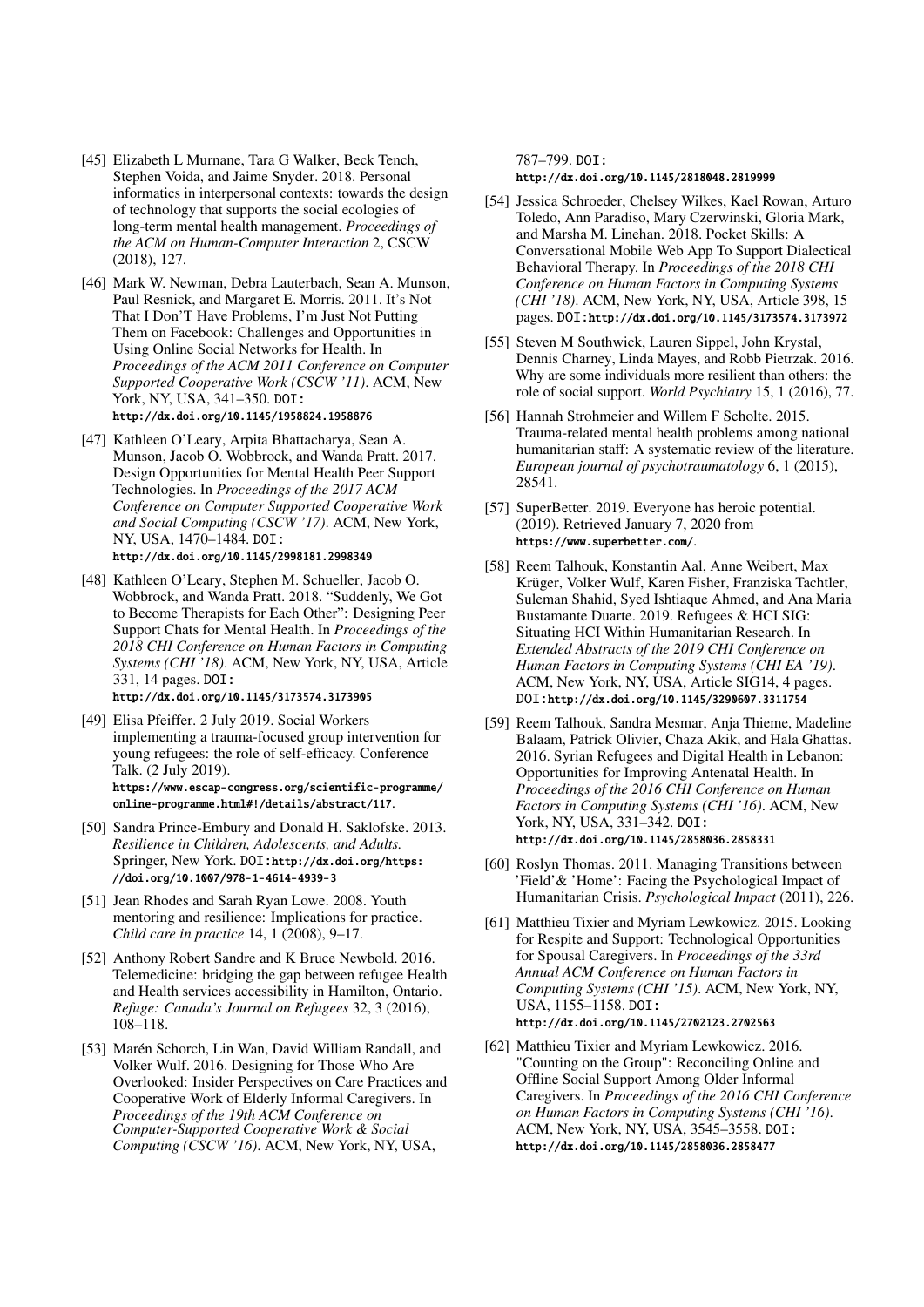- [45] Elizabeth L Murnane, Tara G Walker, Beck Tench, Stephen Voida, and Jaime Snyder. 2018. Personal informatics in interpersonal contexts: towards the design of technology that supports the social ecologies of long-term mental health management. *Proceedings of the ACM on Human-Computer Interaction* 2, CSCW (2018), 127.
- [46] Mark W. Newman, Debra Lauterbach, Sean A. Munson, Paul Resnick, and Margaret E. Morris. 2011. It's Not That I Don'T Have Problems, I'm Just Not Putting Them on Facebook: Challenges and Opportunities in Using Online Social Networks for Health. In *Proceedings of the ACM 2011 Conference on Computer Supported Cooperative Work (CSCW '11)*. ACM, New York, NY, USA, 341–350. DOI: http://dx.doi.org/10.1145/1958824.1958876
- [47] Kathleen O'Leary, Arpita Bhattacharya, Sean A. Munson, Jacob O. Wobbrock, and Wanda Pratt. 2017. Design Opportunities for Mental Health Peer Support Technologies. In *Proceedings of the 2017 ACM Conference on Computer Supported Cooperative Work and Social Computing (CSCW '17)*. ACM, New York, NY, USA, 1470–1484. DOI: http://dx.doi.org/10.1145/2998181.2998349
- [48] Kathleen O'Leary, Stephen M. Schueller, Jacob O. Wobbrock, and Wanda Pratt. 2018. "Suddenly, We Got to Become Therapists for Each Other": Designing Peer Support Chats for Mental Health. In *Proceedings of the 2018 CHI Conference on Human Factors in Computing Systems (CHI '18)*. ACM, New York, NY, USA, Article 331, 14 pages. DOI: http://dx.doi.org/10.1145/3173574.3173905
- [49] Elisa Pfeiffer. 2 July 2019. Social Workers implementing a trauma-focused group intervention for young refugees: the role of self-efficacy. Conference Talk. (2 July 2019). https://www.escap-congress.org/scientific-programme/ online-programme.html#!/details/abstract/117.
- [50] Sandra Prince-Embury and Donald H. Saklofske. 2013. *Resilience in Children, Adolescents, and Adults.* Springer, New York. DOI:http://dx.doi.org/https: //doi.org/10.1007/978-1-4614-4939-3
- [51] Jean Rhodes and Sarah Ryan Lowe. 2008. Youth mentoring and resilience: Implications for practice. *Child care in practice* 14, 1 (2008), 9–17.
- [52] Anthony Robert Sandre and K Bruce Newbold. 2016. Telemedicine: bridging the gap between refugee Health and Health services accessibility in Hamilton, Ontario. *Refuge: Canada's Journal on Refugees* 32, 3 (2016), 108–118.
- [53] Marén Schorch, Lin Wan, David William Randall, and Volker Wulf. 2016. Designing for Those Who Are Overlooked: Insider Perspectives on Care Practices and Cooperative Work of Elderly Informal Caregivers. In *Proceedings of the 19th ACM Conference on Computer-Supported Cooperative Work & Social Computing (CSCW '16)*. ACM, New York, NY, USA,

787–799. DOI:

http://dx.doi.org/10.1145/2818048.2819999

- [54] Jessica Schroeder, Chelsey Wilkes, Kael Rowan, Arturo Toledo, Ann Paradiso, Mary Czerwinski, Gloria Mark, and Marsha M. Linehan. 2018. Pocket Skills: A Conversational Mobile Web App To Support Dialectical Behavioral Therapy. In *Proceedings of the 2018 CHI Conference on Human Factors in Computing Systems (CHI '18)*. ACM, New York, NY, USA, Article 398, 15 pages. DOI:http://dx.doi.org/10.1145/3173574.3173972
- [55] Steven M Southwick, Lauren Sippel, John Krystal, Dennis Charney, Linda Mayes, and Robb Pietrzak. 2016. Why are some individuals more resilient than others: the role of social support. *World Psychiatry* 15, 1 (2016), 77.
- [56] Hannah Strohmeier and Willem F Scholte. 2015. Trauma-related mental health problems among national humanitarian staff: A systematic review of the literature. *European journal of psychotraumatology* 6, 1 (2015), 28541.
- [57] SuperBetter. 2019. Everyone has heroic potential. (2019). Retrieved January 7, 2020 from https://www.superbetter.com/.
- [58] Reem Talhouk, Konstantin Aal, Anne Weibert, Max Krüger, Volker Wulf, Karen Fisher, Franziska Tachtler, Suleman Shahid, Syed Ishtiaque Ahmed, and Ana Maria Bustamante Duarte. 2019. Refugees & HCI SIG: Situating HCI Within Humanitarian Research. In *Extended Abstracts of the 2019 CHI Conference on Human Factors in Computing Systems (CHI EA '19)*. ACM, New York, NY, USA, Article SIG14, 4 pages. DOI:http://dx.doi.org/10.1145/3290607.3311754
- [59] Reem Talhouk, Sandra Mesmar, Anja Thieme, Madeline Balaam, Patrick Olivier, Chaza Akik, and Hala Ghattas. 2016. Syrian Refugees and Digital Health in Lebanon: Opportunities for Improving Antenatal Health. In *Proceedings of the 2016 CHI Conference on Human Factors in Computing Systems (CHI '16)*. ACM, New York, NY, USA, 331–342. DOI: http://dx.doi.org/10.1145/2858036.2858331
- [60] Roslyn Thomas. 2011. Managing Transitions between 'Field'& 'Home': Facing the Psychological Impact of Humanitarian Crisis. *Psychological Impact* (2011), 226.
- [61] Matthieu Tixier and Myriam Lewkowicz. 2015. Looking for Respite and Support: Technological Opportunities for Spousal Caregivers. In *Proceedings of the 33rd Annual ACM Conference on Human Factors in Computing Systems (CHI '15)*. ACM, New York, NY, USA, 1155–1158. DOI: http://dx.doi.org/10.1145/2702123.2702563
- [62] Matthieu Tixier and Myriam Lewkowicz. 2016. "Counting on the Group": Reconciling Online and Offline Social Support Among Older Informal Caregivers. In *Proceedings of the 2016 CHI Conference on Human Factors in Computing Systems (CHI '16)*. ACM, New York, NY, USA, 3545–3558. DOI: http://dx.doi.org/10.1145/2858036.2858477